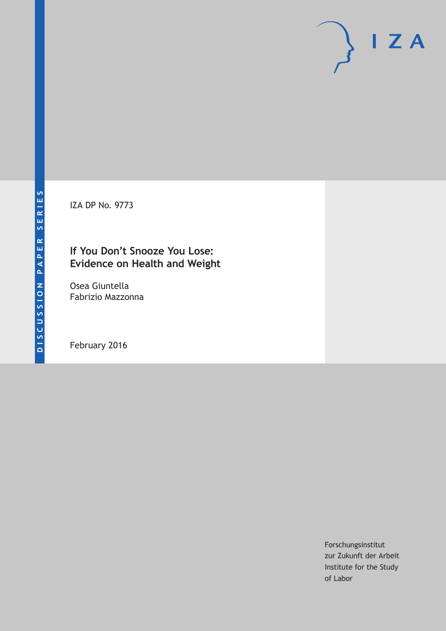IZA DP No. 9773

# **If You Don't Snooze You Lose: Evidence on Health and Weight**

Osea Giuntella Fabrizio Mazzonna

February 2016

Forschungsinstitut zur Zukunft der Arbeit Institute for the Study of Labor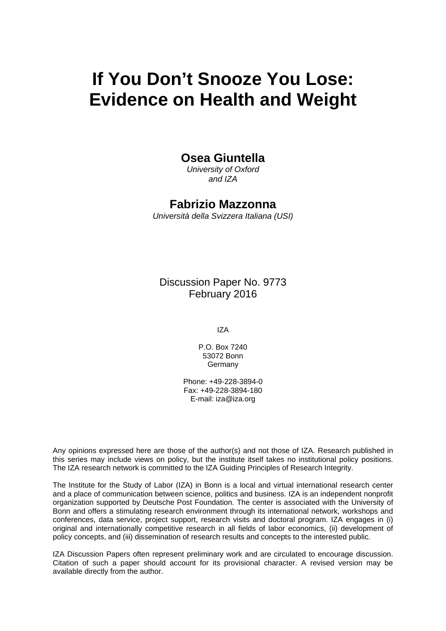# **If You Don't Snooze You Lose: Evidence on Health and Weight**

# **Osea Giuntella**

*University of Oxford and IZA* 

# **Fabrizio Mazzonna**

*Università della Svizzera Italiana (USI)* 

Discussion Paper No. 9773 February 2016

IZA

P.O. Box 7240 53072 Bonn **Germany** 

Phone: +49-228-3894-0 Fax: +49-228-3894-180 E-mail: iza@iza.org

Any opinions expressed here are those of the author(s) and not those of IZA. Research published in this series may include views on policy, but the institute itself takes no institutional policy positions. The IZA research network is committed to the IZA Guiding Principles of Research Integrity.

The Institute for the Study of Labor (IZA) in Bonn is a local and virtual international research center and a place of communication between science, politics and business. IZA is an independent nonprofit organization supported by Deutsche Post Foundation. The center is associated with the University of Bonn and offers a stimulating research environment through its international network, workshops and conferences, data service, project support, research visits and doctoral program. IZA engages in (i) original and internationally competitive research in all fields of labor economics, (ii) development of policy concepts, and (iii) dissemination of research results and concepts to the interested public.

IZA Discussion Papers often represent preliminary work and are circulated to encourage discussion. Citation of such a paper should account for its provisional character. A revised version may be available directly from the author.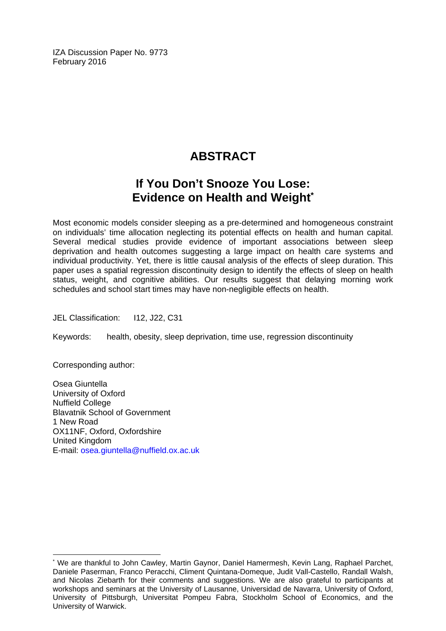IZA Discussion Paper No. 9773 February 2016

# **ABSTRACT**

# **If You Don't Snooze You Lose: Evidence on Health and Weight\***

Most economic models consider sleeping as a pre-determined and homogeneous constraint on individuals' time allocation neglecting its potential effects on health and human capital. Several medical studies provide evidence of important associations between sleep deprivation and health outcomes suggesting a large impact on health care systems and individual productivity. Yet, there is little causal analysis of the effects of sleep duration. This paper uses a spatial regression discontinuity design to identify the effects of sleep on health status, weight, and cognitive abilities. Our results suggest that delaying morning work schedules and school start times may have non-negligible effects on health.

JEL Classification: I12, J22, C31

Keywords: health, obesity, sleep deprivation, time use, regression discontinuity

Corresponding author:

 $\overline{a}$ 

Osea Giuntella University of Oxford Nuffield College Blavatnik School of Government 1 New Road OX11NF, Oxford, Oxfordshire United Kingdom E-mail: osea.giuntella@nuffield.ox.ac.uk

<sup>\*</sup> We are thankful to John Cawley, Martin Gaynor, Daniel Hamermesh, Kevin Lang, Raphael Parchet, Daniele Paserman, Franco Peracchi, Climent Quintana-Domeque, Judit Vall-Castello, Randall Walsh, and Nicolas Ziebarth for their comments and suggestions. We are also grateful to participants at workshops and seminars at the University of Lausanne, Universidad de Navarra, University of Oxford, University of Pittsburgh, Universitat Pompeu Fabra, Stockholm School of Economics, and the University of Warwick.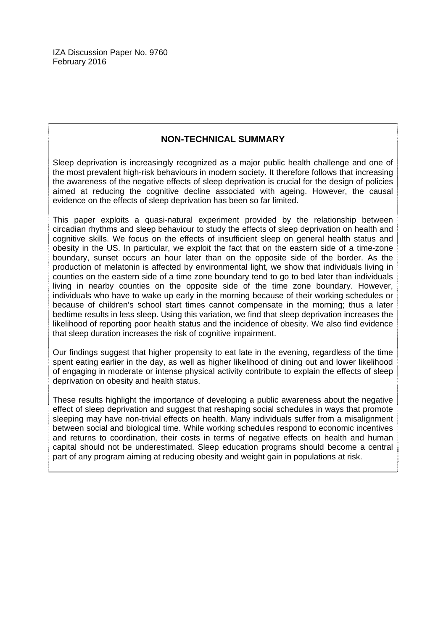## **NON-TECHNICAL SUMMARY**

Sleep deprivation is increasingly recognized as a major public health challenge and one of the most prevalent high-risk behaviours in modern society. It therefore follows that increasing the awareness of the negative effects of sleep deprivation is crucial for the design of policies aimed at reducing the cognitive decline associated with ageing. However, the causal evidence on the effects of sleep deprivation has been so far limited.

This paper exploits a quasi-natural experiment provided by the relationship between circadian rhythms and sleep behaviour to study the effects of sleep deprivation on health and cognitive skills. We focus on the effects of insufficient sleep on general health status and obesity in the US. In particular, we exploit the fact that on the eastern side of a time-zone boundary, sunset occurs an hour later than on the opposite side of the border. As the production of melatonin is affected by environmental light, we show that individuals living in counties on the eastern side of a time zone boundary tend to go to bed later than individuals living in nearby counties on the opposite side of the time zone boundary. However, individuals who have to wake up early in the morning because of their working schedules or because of children's school start times cannot compensate in the morning; thus a later bedtime results in less sleep. Using this variation, we find that sleep deprivation increases the likelihood of reporting poor health status and the incidence of obesity. We also find evidence that sleep duration increases the risk of cognitive impairment.

Our findings suggest that higher propensity to eat late in the evening, regardless of the time spent eating earlier in the day, as well as higher likelihood of dining out and lower likelihood of engaging in moderate or intense physical activity contribute to explain the effects of sleep deprivation on obesity and health status.

These results highlight the importance of developing a public awareness about the negative effect of sleep deprivation and suggest that reshaping social schedules in ways that promote sleeping may have non-trivial effects on health. Many individuals suffer from a misalignment between social and biological time. While working schedules respond to economic incentives and returns to coordination, their costs in terms of negative effects on health and human capital should not be underestimated. Sleep education programs should become a central part of any program aiming at reducing obesity and weight gain in populations at risk.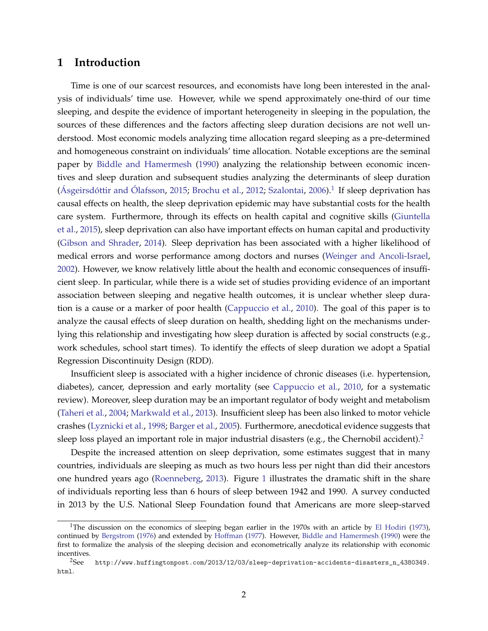### **1 Introduction**

Time is one of our scarcest resources, and economists have long been interested in the analysis of individuals' time use. However, while we spend approximately one-third of our time sleeping, and despite the evidence of important heterogeneity in sleeping in the population, the sources of these differences and the factors affecting sleep duration decisions are not well understood. Most economic models analyzing time allocation regard sleeping as a pre-determined and homogeneous constraint on individuals' time allocation. Notable exceptions are the seminal paper by [Biddle and Hamermesh](#page-28-0) [\(1990\)](#page-28-0) analyzing the relationship between economic incentives and sleep duration and subsequent studies analyzing the determinants of sleep duration (Ásgeirsdóttir and Ólafsson, [2015;](#page-28-1) [Brochu et al.,](#page-28-2) [2012;](#page-28-2) [Szalontai,](#page-31-0) [2006\)](#page-31-0).<sup>[1](#page-4-0)</sup> If sleep deprivation has causal effects on health, the sleep deprivation epidemic may have substantial costs for the health care system. Furthermore, through its effects on health capital and cognitive skills [\(Giuntella](#page-29-0) [et al.,](#page-29-0) [2015\)](#page-29-0), sleep deprivation can also have important effects on human capital and productivity [\(Gibson and Shrader,](#page-29-1) [2014\)](#page-29-1). Sleep deprivation has been associated with a higher likelihood of medical errors and worse performance among doctors and nurses [\(Weinger and Ancoli-Israel,](#page-32-0) [2002\)](#page-32-0). However, we know relatively little about the health and economic consequences of insufficient sleep. In particular, while there is a wide set of studies providing evidence of an important association between sleeping and negative health outcomes, it is unclear whether sleep duration is a cause or a marker of poor health [\(Cappuccio et al.,](#page-28-3) [2010\)](#page-28-3). The goal of this paper is to analyze the causal effects of sleep duration on health, shedding light on the mechanisms underlying this relationship and investigating how sleep duration is affected by social constructs (e.g., work schedules, school start times). To identify the effects of sleep duration we adopt a Spatial Regression Discontinuity Design (RDD).

Insufficient sleep is associated with a higher incidence of chronic diseases (i.e. hypertension, diabetes), cancer, depression and early mortality (see [Cappuccio et al.,](#page-28-3) [2010,](#page-28-3) for a systematic review). Moreover, sleep duration may be an important regulator of body weight and metabolism [\(Taheri et al.,](#page-31-1) [2004;](#page-31-1) [Markwald et al.,](#page-30-0) [2013\)](#page-30-0). Insufficient sleep has been also linked to motor vehicle crashes [\(Lyznicki et al.,](#page-30-1) [1998;](#page-30-1) [Barger et al.,](#page-28-4) [2005\)](#page-28-4). Furthermore, anecdotical evidence suggests that sleep loss played an important role in major industrial disasters (e.g., the Chernobil accident).<sup>[2](#page-4-1)</sup>

Despite the increased attention on sleep deprivation, some estimates suggest that in many countries, individuals are sleeping as much as two hours less per night than did their ancestors one hundred years ago [\(Roenneberg,](#page-30-2) [2013\)](#page-30-2). Figure [1](#page-33-0) illustrates the dramatic shift in the share of individuals reporting less than 6 hours of sleep between 1942 and 1990. A survey conducted in 2013 by the U.S. National Sleep Foundation found that Americans are more sleep-starved

<span id="page-4-0"></span><sup>&</sup>lt;sup>1</sup>The discussion on the economics of sleeping began earlier in the 1970s with an article by [El Hodiri](#page-29-2) [\(1973\)](#page-29-2), continued by [Bergstrom](#page-28-5) [\(1976\)](#page-28-5) and extended by [Hoffman](#page-29-3) [\(1977\)](#page-29-3). However, [Biddle and Hamermesh](#page-28-0) [\(1990\)](#page-28-0) were the first to formalize the analysis of the sleeping decision and econometrically analyze its relationship with economic incentives.<br><sup>2</sup>See

<span id="page-4-1"></span>[http://www.huffingtonpost.com/2013/12/03/sleep-deprivation-accidents-disasters\\_n\\_4380349.](http://www.huffingtonpost.com/2013/12/03/sleep-deprivation-accidents-disasters_n_4380349.html) [html](http://www.huffingtonpost.com/2013/12/03/sleep-deprivation-accidents-disasters_n_4380349.html).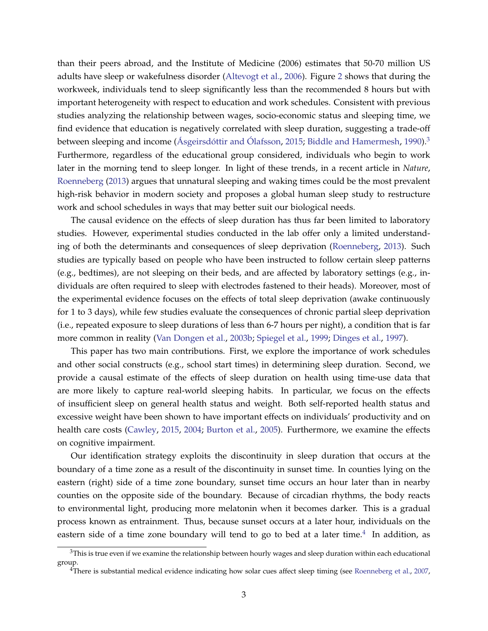than their peers abroad, and the Institute of Medicine (2006) estimates that 50-70 million US adults have sleep or wakefulness disorder [\(Altevogt et al.,](#page-28-6) [2006\)](#page-28-6). Figure [2](#page-34-0) shows that during the workweek, individuals tend to sleep significantly less than the recommended 8 hours but with important heterogeneity with respect to education and work schedules. Consistent with previous studies analyzing the relationship between wages, socio-economic status and sleeping time, we find evidence that education is negatively correlated with sleep duration, suggesting a trade-off between sleeping and income [\(Asgeirsd](#page-28-1) of tire and Olafsson, [2015;](#page-28-1) [Biddle and Hamermesh,](#page-28-0) [1990\)](#page-28-0).<sup>[3](#page-5-0)</sup> Furthermore, regardless of the educational group considered, individuals who begin to work later in the morning tend to sleep longer. In light of these trends, in a recent article in *Nature*, [Roenneberg](#page-30-2) [\(2013\)](#page-30-2) argues that unnatural sleeping and waking times could be the most prevalent high-risk behavior in modern society and proposes a global human sleep study to restructure work and school schedules in ways that may better suit our biological needs.

The causal evidence on the effects of sleep duration has thus far been limited to laboratory studies. However, experimental studies conducted in the lab offer only a limited understanding of both the determinants and consequences of sleep deprivation [\(Roenneberg,](#page-30-2) [2013\)](#page-30-2). Such studies are typically based on people who have been instructed to follow certain sleep patterns (e.g., bedtimes), are not sleeping on their beds, and are affected by laboratory settings (e.g., individuals are often required to sleep with electrodes fastened to their heads). Moreover, most of the experimental evidence focuses on the effects of total sleep deprivation (awake continuously for 1 to 3 days), while few studies evaluate the consequences of chronic partial sleep deprivation (i.e., repeated exposure to sleep durations of less than 6-7 hours per night), a condition that is far more common in reality [\(Van Dongen et al.,](#page-32-1) [2003b;](#page-32-1) [Spiegel et al.,](#page-31-2) [1999;](#page-31-2) [Dinges et al.,](#page-29-4) [1997\)](#page-29-4).

This paper has two main contributions. First, we explore the importance of work schedules and other social constructs (e.g., school start times) in determining sleep duration. Second, we provide a causal estimate of the effects of sleep duration on health using time-use data that are more likely to capture real-world sleeping habits. In particular, we focus on the effects of insufficient sleep on general health status and weight. Both self-reported health status and excessive weight have been shown to have important effects on individuals' productivity and on health care costs [\(Cawley,](#page-29-5) [2015,](#page-29-5) [2004;](#page-29-6) [Burton et al.,](#page-28-7) [2005\)](#page-28-7). Furthermore, we examine the effects on cognitive impairment.

Our identification strategy exploits the discontinuity in sleep duration that occurs at the boundary of a time zone as a result of the discontinuity in sunset time. In counties lying on the eastern (right) side of a time zone boundary, sunset time occurs an hour later than in nearby counties on the opposite side of the boundary. Because of circadian rhythms, the body reacts to environmental light, producing more melatonin when it becomes darker. This is a gradual process known as entrainment. Thus, because sunset occurs at a later hour, individuals on the eastern side of a time zone boundary will tend to go to bed at a later time. $^4\,$  $^4\,$  $^4\,$  In addition, as

<span id="page-5-0"></span> $3$ This is true even if we examine the relationship between hourly wages and sleep duration within each educational group.

<span id="page-5-1"></span> $4$ There is substantial medical evidence indicating how solar cues affect sleep timing (see [Roenneberg et al.,](#page-31-3) [2007,](#page-31-3)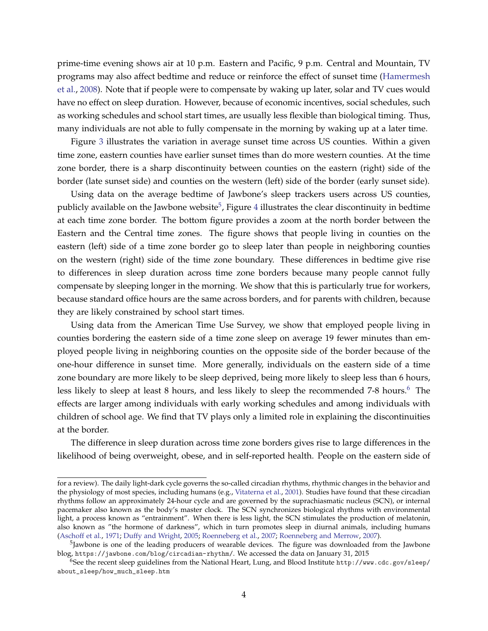prime-time evening shows air at 10 p.m. Eastern and Pacific, 9 p.m. Central and Mountain, TV programs may also affect bedtime and reduce or reinforce the effect of sunset time [\(Hamermesh](#page-29-7) [et al.,](#page-29-7) [2008\)](#page-29-7). Note that if people were to compensate by waking up later, solar and TV cues would have no effect on sleep duration. However, because of economic incentives, social schedules, such as working schedules and school start times, are usually less flexible than biological timing. Thus, many individuals are not able to fully compensate in the morning by waking up at a later time.

Figure [3](#page-35-0) illustrates the variation in average sunset time across US counties. Within a given time zone, eastern counties have earlier sunset times than do more western counties. At the time zone border, there is a sharp discontinuity between counties on the eastern (right) side of the border (late sunset side) and counties on the western (left) side of the border (early sunset side).

Using data on the average bedtime of Jawbone's sleep trackers users across US counties, publicly available on the Jawbone website $^5$  $^5$ , Figure  $4$  illustrates the clear discontinuity in bedtime at each time zone border. The bottom figure provides a zoom at the north border between the Eastern and the Central time zones. The figure shows that people living in counties on the eastern (left) side of a time zone border go to sleep later than people in neighboring counties on the western (right) side of the time zone boundary. These differences in bedtime give rise to differences in sleep duration across time zone borders because many people cannot fully compensate by sleeping longer in the morning. We show that this is particularly true for workers, because standard office hours are the same across borders, and for parents with children, because they are likely constrained by school start times.

Using data from the American Time Use Survey, we show that employed people living in counties bordering the eastern side of a time zone sleep on average 19 fewer minutes than employed people living in neighboring counties on the opposite side of the border because of the one-hour difference in sunset time. More generally, individuals on the eastern side of a time zone boundary are more likely to be sleep deprived, being more likely to sleep less than 6 hours, less likely to sleep at least 8 hours, and less likely to sleep the recommended  $7-8$  hours.<sup>[6](#page-6-1)</sup> The effects are larger among individuals with early working schedules and among individuals with children of school age. We find that TV plays only a limited role in explaining the discontinuities at the border.

The difference in sleep duration across time zone borders gives rise to large differences in the likelihood of being overweight, obese, and in self-reported health. People on the eastern side of

for a review). The daily light-dark cycle governs the so-called circadian rhythms, rhythmic changes in the behavior and the physiology of most species, including humans (e.g., [Vitaterna et al.,](#page-32-2) [2001\)](#page-32-2). Studies have found that these circadian rhythms follow an approximately 24-hour cycle and are governed by the suprachiasmatic nucleus (SCN), or internal pacemaker also known as the body's master clock. The SCN synchronizes biological rhythms with environmental light, a process known as "entrainment". When there is less light, the SCN stimulates the production of melatonin, also known as "the hormone of darkness", which in turn promotes sleep in diurnal animals, including humans [\(Aschoff et al.,](#page-28-8) [1971;](#page-28-8) [Duffy and Wright,](#page-29-8) [2005;](#page-29-8) [Roenneberg et al.,](#page-31-3) [2007;](#page-31-3) [Roenneberg and Merrow,](#page-31-4) [2007\)](#page-31-4).

<span id="page-6-0"></span><sup>&</sup>lt;sup>5</sup>Jawbone is one of the leading producers of wearable devices. The figure was downloaded from the Jawbone blog, <https://jawbone.com/blog/circadian-rhythm/>. We accessed the data on January 31, 2015

<span id="page-6-1"></span><sup>&</sup>lt;sup>6</sup>See the recent sleep guidelines from the National Heart, Lung, and Blood Institute [http://www.cdc.gov/sleep/](http://www.cdc.gov/sleep/about_sleep/how_much_sleep.htm) [about\\_sleep/how\\_much\\_sleep.htm](http://www.cdc.gov/sleep/about_sleep/how_much_sleep.htm)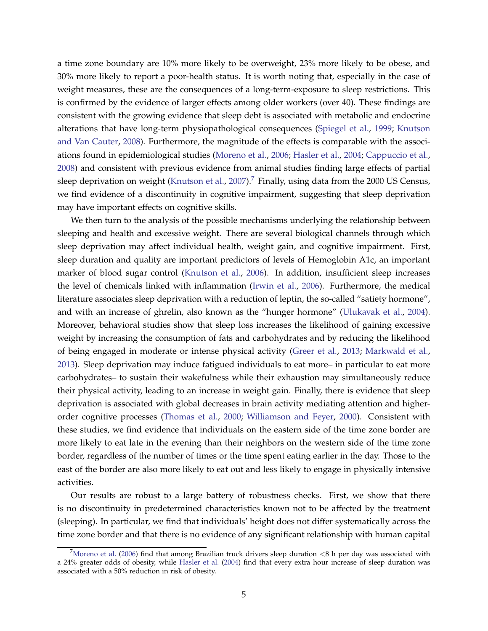a time zone boundary are 10% more likely to be overweight, 23% more likely to be obese, and 30% more likely to report a poor-health status. It is worth noting that, especially in the case of weight measures, these are the consequences of a long-term-exposure to sleep restrictions. This is confirmed by the evidence of larger effects among older workers (over 40). These findings are consistent with the growing evidence that sleep debt is associated with metabolic and endocrine alterations that have long-term physiopathological consequences [\(Spiegel et al.,](#page-31-2) [1999;](#page-31-2) [Knutson](#page-30-3) [and Van Cauter,](#page-30-3) [2008\)](#page-30-3). Furthermore, the magnitude of the effects is comparable with the associations found in epidemiological studies [\(Moreno et al.,](#page-30-4) [2006;](#page-30-4) [Hasler et al.,](#page-29-9) [2004;](#page-29-9) [Cappuccio et al.,](#page-28-9) [2008\)](#page-28-9) and consistent with previous evidence from animal studies finding large effects of partial sleep deprivation on weight [\(Knutson et al.,](#page-30-5) [2007\)](#page-30-5).<sup>[7](#page-7-0)</sup> Finally, using data from the 2000 US Census, we find evidence of a discontinuity in cognitive impairment, suggesting that sleep deprivation may have important effects on cognitive skills.

We then turn to the analysis of the possible mechanisms underlying the relationship between sleeping and health and excessive weight. There are several biological channels through which sleep deprivation may affect individual health, weight gain, and cognitive impairment. First, sleep duration and quality are important predictors of levels of Hemoglobin A1c, an important marker of blood sugar control [\(Knutson et al.,](#page-30-6) [2006\)](#page-30-6). In addition, insufficient sleep increases the level of chemicals linked with inflammation [\(Irwin et al.,](#page-30-7) [2006\)](#page-30-7). Furthermore, the medical literature associates sleep deprivation with a reduction of leptin, the so-called "satiety hormone", and with an increase of ghrelin, also known as the "hunger hormone" [\(Ulukavak et al.,](#page-31-5) [2004\)](#page-31-5). Moreover, behavioral studies show that sleep loss increases the likelihood of gaining excessive weight by increasing the consumption of fats and carbohydrates and by reducing the likelihood of being engaged in moderate or intense physical activity [\(Greer et al.,](#page-29-10) [2013;](#page-29-10) [Markwald et al.,](#page-30-0) [2013\)](#page-30-0). Sleep deprivation may induce fatigued individuals to eat more– in particular to eat more carbohydrates– to sustain their wakefulness while their exhaustion may simultaneously reduce their physical activity, leading to an increase in weight gain. Finally, there is evidence that sleep deprivation is associated with global decreases in brain activity mediating attention and higherorder cognitive processes [\(Thomas et al.,](#page-31-6) [2000;](#page-31-6) [Williamson and Feyer,](#page-32-3) [2000\)](#page-32-3). Consistent with these studies, we find evidence that individuals on the eastern side of the time zone border are more likely to eat late in the evening than their neighbors on the western side of the time zone border, regardless of the number of times or the time spent eating earlier in the day. Those to the east of the border are also more likely to eat out and less likely to engage in physically intensive activities.

Our results are robust to a large battery of robustness checks. First, we show that there is no discontinuity in predetermined characteristics known not to be affected by the treatment (sleeping). In particular, we find that individuals' height does not differ systematically across the time zone border and that there is no evidence of any significant relationship with human capital

<span id="page-7-0"></span><sup>&</sup>lt;sup>7</sup>[Moreno et al.](#page-30-4) [\(2006\)](#page-30-4) find that among Brazilian truck drivers sleep duration  $\lt 8$  h per day was associated with a 24% greater odds of obesity, while [Hasler et al.](#page-29-9) [\(2004\)](#page-29-9) find that every extra hour increase of sleep duration was associated with a 50% reduction in risk of obesity.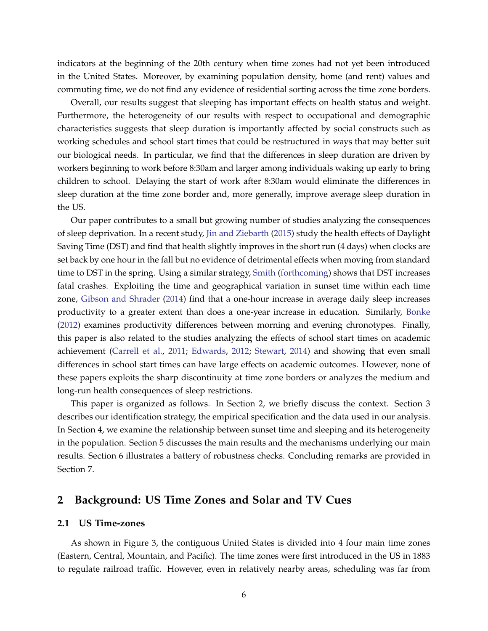indicators at the beginning of the 20th century when time zones had not yet been introduced in the United States. Moreover, by examining population density, home (and rent) values and commuting time, we do not find any evidence of residential sorting across the time zone borders.

Overall, our results suggest that sleeping has important effects on health status and weight. Furthermore, the heterogeneity of our results with respect to occupational and demographic characteristics suggests that sleep duration is importantly affected by social constructs such as working schedules and school start times that could be restructured in ways that may better suit our biological needs. In particular, we find that the differences in sleep duration are driven by workers beginning to work before 8:30am and larger among individuals waking up early to bring children to school. Delaying the start of work after 8:30am would eliminate the differences in sleep duration at the time zone border and, more generally, improve average sleep duration in the US.

Our paper contributes to a small but growing number of studies analyzing the consequences of sleep deprivation. In a recent study, [Jin and Ziebarth](#page-30-8) [\(2015\)](#page-30-8) study the health effects of Daylight Saving Time (DST) and find that health slightly improves in the short run (4 days) when clocks are set back by one hour in the fall but no evidence of detrimental effects when moving from standard time to DST in the spring. Using a similar strategy, [Smith](#page-31-7) [\(forthcoming\)](#page-31-7) shows that DST increases fatal crashes. Exploiting the time and geographical variation in sunset time within each time zone, [Gibson and Shrader](#page-29-1) [\(2014\)](#page-29-1) find that a one-hour increase in average daily sleep increases productivity to a greater extent than does a one-year increase in education. Similarly, [Bonke](#page-28-10) [\(2012\)](#page-28-10) examines productivity differences between morning and evening chronotypes. Finally, this paper is also related to the studies analyzing the effects of school start times on academic achievement [\(Carrell et al.,](#page-28-11) [2011;](#page-28-11) [Edwards,](#page-29-11) [2012;](#page-29-11) [Stewart,](#page-31-8) [2014\)](#page-31-8) and showing that even small differences in school start times can have large effects on academic outcomes. However, none of these papers exploits the sharp discontinuity at time zone borders or analyzes the medium and long-run health consequences of sleep restrictions.

This paper is organized as follows. In Section 2, we briefly discuss the context. Section 3 describes our identification strategy, the empirical specification and the data used in our analysis. In Section 4, we examine the relationship between sunset time and sleeping and its heterogeneity in the population. Section 5 discusses the main results and the mechanisms underlying our main results. Section 6 illustrates a battery of robustness checks. Concluding remarks are provided in Section 7.

### **2 Background: US Time Zones and Solar and TV Cues**

#### **2.1 US Time-zones**

As shown in Figure 3, the contiguous United States is divided into 4 four main time zones (Eastern, Central, Mountain, and Pacific). The time zones were first introduced in the US in 1883 to regulate railroad traffic. However, even in relatively nearby areas, scheduling was far from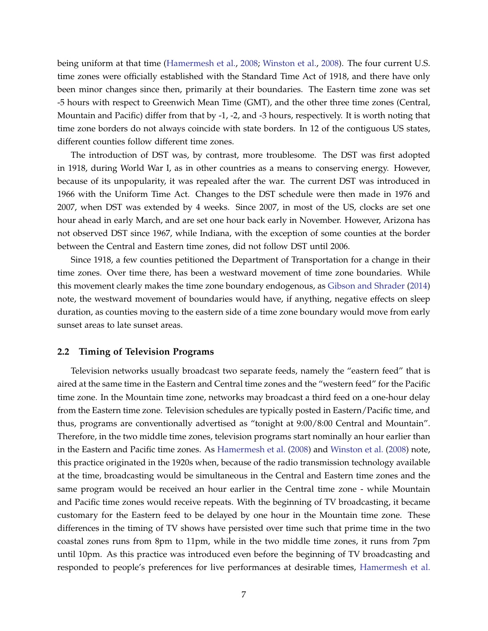being uniform at that time [\(Hamermesh et al.,](#page-29-7) [2008;](#page-29-7) [Winston et al.,](#page-32-4) [2008\)](#page-32-4). The four current U.S. time zones were officially established with the Standard Time Act of 1918, and there have only been minor changes since then, primarily at their boundaries. The Eastern time zone was set -5 hours with respect to Greenwich Mean Time (GMT), and the other three time zones (Central, Mountain and Pacific) differ from that by -1, -2, and -3 hours, respectively. It is worth noting that time zone borders do not always coincide with state borders. In 12 of the contiguous US states, different counties follow different time zones.

The introduction of DST was, by contrast, more troublesome. The DST was first adopted in 1918, during World War I, as in other countries as a means to conserving energy. However, because of its unpopularity, it was repealed after the war. The current DST was introduced in 1966 with the Uniform Time Act. Changes to the DST schedule were then made in 1976 and 2007, when DST was extended by 4 weeks. Since 2007, in most of the US, clocks are set one hour ahead in early March, and are set one hour back early in November. However, Arizona has not observed DST since 1967, while Indiana, with the exception of some counties at the border between the Central and Eastern time zones, did not follow DST until 2006.

Since 1918, a few counties petitioned the Department of Transportation for a change in their time zones. Over time there, has been a westward movement of time zone boundaries. While this movement clearly makes the time zone boundary endogenous, as [Gibson and Shrader](#page-29-1) [\(2014\)](#page-29-1) note, the westward movement of boundaries would have, if anything, negative effects on sleep duration, as counties moving to the eastern side of a time zone boundary would move from early sunset areas to late sunset areas.

#### <span id="page-9-0"></span>**2.2 Timing of Television Programs**

Television networks usually broadcast two separate feeds, namely the "eastern feed" that is aired at the same time in the Eastern and Central time zones and the "western feed" for the Pacific time zone. In the Mountain time zone, networks may broadcast a third feed on a one-hour delay from the Eastern time zone. Television schedules are typically posted in Eastern/Pacific time, and thus, programs are conventionally advertised as "tonight at 9:00/8:00 Central and Mountain". Therefore, in the two middle time zones, television programs start nominally an hour earlier than in the Eastern and Pacific time zones. As [Hamermesh et al.](#page-29-7) [\(2008\)](#page-29-7) and [Winston et al.](#page-32-4) [\(2008\)](#page-32-4) note, this practice originated in the 1920s when, because of the radio transmission technology available at the time, broadcasting would be simultaneous in the Central and Eastern time zones and the same program would be received an hour earlier in the Central time zone - while Mountain and Pacific time zones would receive repeats. With the beginning of TV broadcasting, it became customary for the Eastern feed to be delayed by one hour in the Mountain time zone. These differences in the timing of TV shows have persisted over time such that prime time in the two coastal zones runs from 8pm to 11pm, while in the two middle time zones, it runs from 7pm until 10pm. As this practice was introduced even before the beginning of TV broadcasting and responded to people's preferences for live performances at desirable times, [Hamermesh et al.](#page-29-7)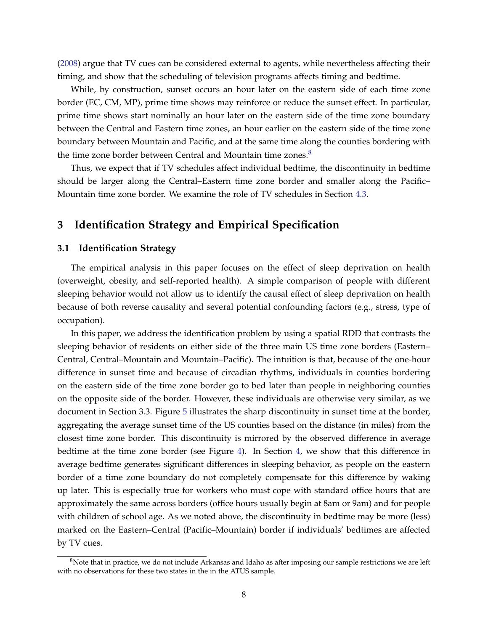[\(2008\)](#page-29-7) argue that TV cues can be considered external to agents, while nevertheless affecting their timing, and show that the scheduling of television programs affects timing and bedtime.

While, by construction, sunset occurs an hour later on the eastern side of each time zone border (EC, CM, MP), prime time shows may reinforce or reduce the sunset effect. In particular, prime time shows start nominally an hour later on the eastern side of the time zone boundary between the Central and Eastern time zones, an hour earlier on the eastern side of the time zone boundary between Mountain and Pacific, and at the same time along the counties bordering with the time zone border between Central and Mountain time zones.<sup>[8](#page-10-0)</sup>

Thus, we expect that if TV schedules affect individual bedtime, the discontinuity in bedtime should be larger along the Central–Eastern time zone border and smaller along the Pacific– Mountain time zone border. We examine the role of TV schedules in Section [4.3.](#page-17-0)

# **3 Identification Strategy and Empirical Specification**

#### <span id="page-10-1"></span>**3.1 Identification Strategy**

The empirical analysis in this paper focuses on the effect of sleep deprivation on health (overweight, obesity, and self-reported health). A simple comparison of people with different sleeping behavior would not allow us to identify the causal effect of sleep deprivation on health because of both reverse causality and several potential confounding factors (e.g., stress, type of occupation).

In this paper, we address the identification problem by using a spatial RDD that contrasts the sleeping behavior of residents on either side of the three main US time zone borders (Eastern– Central, Central–Mountain and Mountain–Pacific). The intuition is that, because of the one-hour difference in sunset time and because of circadian rhythms, individuals in counties bordering on the eastern side of the time zone border go to bed later than people in neighboring counties on the opposite side of the border. However, these individuals are otherwise very similar, as we document in Section 3.3. Figure [5](#page-37-0) illustrates the sharp discontinuity in sunset time at the border, aggregating the average sunset time of the US counties based on the distance (in miles) from the closest time zone border. This discontinuity is mirrored by the observed difference in average bedtime at the time zone border (see Figure [4\)](#page-36-0). In Section [4,](#page-15-0) we show that this difference in average bedtime generates significant differences in sleeping behavior, as people on the eastern border of a time zone boundary do not completely compensate for this difference by waking up later. This is especially true for workers who must cope with standard office hours that are approximately the same across borders (office hours usually begin at 8am or 9am) and for people with children of school age. As we noted above, the discontinuity in bedtime may be more (less) marked on the Eastern–Central (Pacific–Mountain) border if individuals' bedtimes are affected by TV cues.

<span id="page-10-0"></span> $8$ Note that in practice, we do not include Arkansas and Idaho as after imposing our sample restrictions we are left with no observations for these two states in the in the ATUS sample.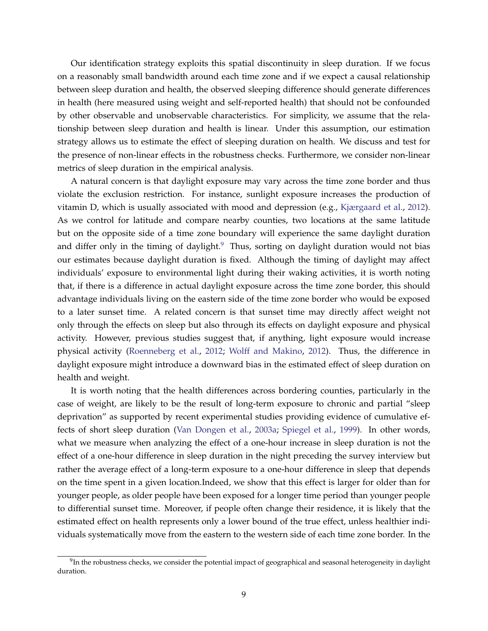Our identification strategy exploits this spatial discontinuity in sleep duration. If we focus on a reasonably small bandwidth around each time zone and if we expect a causal relationship between sleep duration and health, the observed sleeping difference should generate differences in health (here measured using weight and self-reported health) that should not be confounded by other observable and unobservable characteristics. For simplicity, we assume that the relationship between sleep duration and health is linear. Under this assumption, our estimation strategy allows us to estimate the effect of sleeping duration on health. We discuss and test for the presence of non-linear effects in the robustness checks. Furthermore, we consider non-linear metrics of sleep duration in the empirical analysis.

A natural concern is that daylight exposure may vary across the time zone border and thus violate the exclusion restriction. For instance, sunlight exposure increases the production of vitamin D, which is usually associated with mood and depression (e.g., [Kjærgaard et al.,](#page-30-9) [2012\)](#page-30-9). As we control for latitude and compare nearby counties, two locations at the same latitude but on the opposite side of a time zone boundary will experience the same daylight duration and differ only in the timing of daylight. $9$  Thus, sorting on daylight duration would not bias our estimates because daylight duration is fixed. Although the timing of daylight may affect individuals' exposure to environmental light during their waking activities, it is worth noting that, if there is a difference in actual daylight exposure across the time zone border, this should advantage individuals living on the eastern side of the time zone border who would be exposed to a later sunset time. A related concern is that sunset time may directly affect weight not only through the effects on sleep but also through its effects on daylight exposure and physical activity. However, previous studies suggest that, if anything, light exposure would increase physical activity [\(Roenneberg et al.,](#page-31-9) [2012;](#page-31-9) [Wolff and Makino,](#page-32-5) [2012\)](#page-32-5). Thus, the difference in daylight exposure might introduce a downward bias in the estimated effect of sleep duration on health and weight.

It is worth noting that the health differences across bordering counties, particularly in the case of weight, are likely to be the result of long-term exposure to chronic and partial "sleep deprivation" as supported by recent experimental studies providing evidence of cumulative effects of short sleep duration [\(Van Dongen et al.,](#page-32-6) [2003a;](#page-32-6) [Spiegel et al.,](#page-31-2) [1999\)](#page-31-2). In other words, what we measure when analyzing the effect of a one-hour increase in sleep duration is not the effect of a one-hour difference in sleep duration in the night preceding the survey interview but rather the average effect of a long-term exposure to a one-hour difference in sleep that depends on the time spent in a given location.Indeed, we show that this effect is larger for older than for younger people, as older people have been exposed for a longer time period than younger people to differential sunset time. Moreover, if people often change their residence, it is likely that the estimated effect on health represents only a lower bound of the true effect, unless healthier individuals systematically move from the eastern to the western side of each time zone border. In the

<span id="page-11-0"></span> $^9$ In the robustness checks, we consider the potential impact of geographical and seasonal heterogeneity in daylight duration.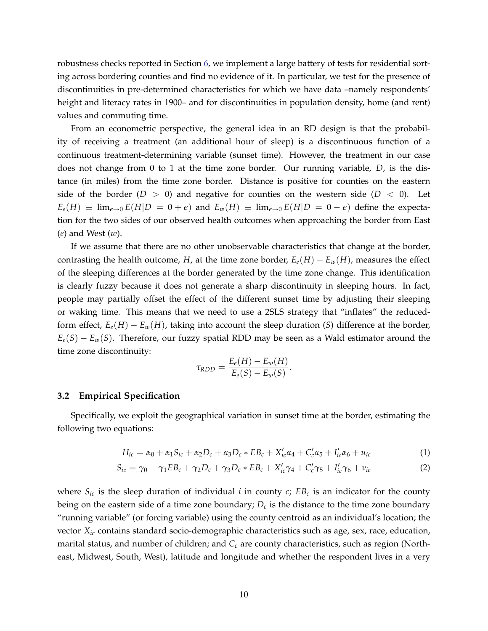robustness checks reported in Section [6,](#page-24-0) we implement a large battery of tests for residential sorting across bordering counties and find no evidence of it. In particular, we test for the presence of discontinuities in pre-determined characteristics for which we have data –namely respondents' height and literacy rates in 1900– and for discontinuities in population density, home (and rent) values and commuting time.

From an econometric perspective, the general idea in an RD design is that the probability of receiving a treatment (an additional hour of sleep) is a discontinuous function of a continuous treatment-determining variable (sunset time). However, the treatment in our case does not change from 0 to 1 at the time zone border. Our running variable, *D*, is the distance (in miles) from the time zone border. Distance is positive for counties on the eastern side of the border  $(D > 0)$  and negative for counties on the western side  $(D < 0)$ . Let  $E_e(H) \equiv \lim_{\epsilon \to 0} E(H|D = 0 + \epsilon)$  and  $E_w(H) \equiv \lim_{\epsilon \to 0} E(H|D = 0 - \epsilon)$  define the expectation for the two sides of our observed health outcomes when approaching the border from East (*e*) and West (*w*).

If we assume that there are no other unobservable characteristics that change at the border, contrasting the health outcome, *H*, at the time zone border,  $E_e(H) - E_w(H)$ , measures the effect of the sleeping differences at the border generated by the time zone change. This identification is clearly fuzzy because it does not generate a sharp discontinuity in sleeping hours. In fact, people may partially offset the effect of the different sunset time by adjusting their sleeping or waking time. This means that we need to use a 2SLS strategy that "inflates" the reducedform effect,  $E_e(H) - E_w(H)$ , taking into account the sleep duration (*S*) difference at the border,  $E_e(S) - E_w(S)$ . Therefore, our fuzzy spatial RDD may be seen as a Wald estimator around the time zone discontinuity:

<span id="page-12-0"></span>
$$
\tau_{RDD} = \frac{E_e(H) - E_w(H)}{E_e(S) - E_w(S)}.
$$

#### **3.2 Empirical Specification**

Specifically, we exploit the geographical variation in sunset time at the border, estimating the following two equations:

$$
H_{ic} = \alpha_0 + \alpha_1 S_{ic} + \alpha_2 D_c + \alpha_3 D_c * E B_c + X'_{ic} \alpha_4 + C'_c \alpha_5 + I'_{ic} \alpha_6 + u_{ic}
$$
 (1)

$$
S_{ic} = \gamma_0 + \gamma_1 EB_c + \gamma_2 D_c + \gamma_3 D_c * EB_c + X'_{ic}\gamma_4 + C'_c\gamma_5 + I'_{ic}\gamma_6 + \nu_{ic}
$$
 (2)

where *Sic* is the sleep duration of individual *i* in county *c*; *EB<sup>c</sup>* is an indicator for the county being on the eastern side of a time zone boundary; *D<sup>c</sup>* is the distance to the time zone boundary "running variable" (or forcing variable) using the county centroid as an individual's location; the vector *Xic* contains standard socio-demographic characteristics such as age, sex, race, education, marital status, and number of children; and *C<sup>c</sup>* are county characteristics, such as region (Northeast, Midwest, South, West), latitude and longitude and whether the respondent lives in a very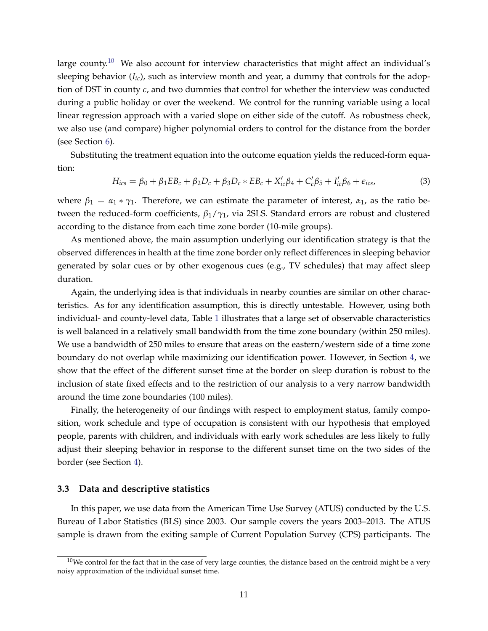large county.<sup>[10](#page-13-0)</sup> We also account for interview characteristics that might affect an individual's sleeping behavior (*Iic*), such as interview month and year, a dummy that controls for the adoption of DST in county *c*, and two dummies that control for whether the interview was conducted during a public holiday or over the weekend. We control for the running variable using a local linear regression approach with a varied slope on either side of the cutoff. As robustness check, we also use (and compare) higher polynomial orders to control for the distance from the border (see Section [6\)](#page-24-0).

Substituting the treatment equation into the outcome equation yields the reduced-form equation:

$$
H_{ics} = \beta_0 + \beta_1 EB_c + \beta_2 D_c + \beta_3 D_c * EB_c + X'_{ic}\beta_4 + C'_c\beta_5 + I'_{ic}\beta_6 + \epsilon_{ics},
$$
\n(3)

where  $\beta_1 = \alpha_1 * \gamma_1$ . Therefore, we can estimate the parameter of interest,  $\alpha_1$ , as the ratio between the reduced-form coefficients, *β*1/*γ*1, via 2SLS. Standard errors are robust and clustered according to the distance from each time zone border (10-mile groups).

As mentioned above, the main assumption underlying our identification strategy is that the observed differences in health at the time zone border only reflect differences in sleeping behavior generated by solar cues or by other exogenous cues (e.g., TV schedules) that may affect sleep duration.

Again, the underlying idea is that individuals in nearby counties are similar on other characteristics. As for any identification assumption, this is directly untestable. However, using both individual- and county-level data, Table [1](#page-39-0) illustrates that a large set of observable characteristics is well balanced in a relatively small bandwidth from the time zone boundary (within 250 miles). We use a bandwidth of 250 miles to ensure that areas on the eastern/western side of a time zone boundary do not overlap while maximizing our identification power. However, in Section [4,](#page-15-0) we show that the effect of the different sunset time at the border on sleep duration is robust to the inclusion of state fixed effects and to the restriction of our analysis to a very narrow bandwidth around the time zone boundaries (100 miles).

Finally, the heterogeneity of our findings with respect to employment status, family composition, work schedule and type of occupation is consistent with our hypothesis that employed people, parents with children, and individuals with early work schedules are less likely to fully adjust their sleeping behavior in response to the different sunset time on the two sides of the border (see Section [4\)](#page-15-0).

### **3.3 Data and descriptive statistics**

In this paper, we use data from the American Time Use Survey (ATUS) conducted by the U.S. Bureau of Labor Statistics (BLS) since 2003. Our sample covers the years 2003–2013. The ATUS sample is drawn from the exiting sample of Current Population Survey (CPS) participants. The

<span id="page-13-0"></span> $10$ We control for the fact that in the case of very large counties, the distance based on the centroid might be a very noisy approximation of the individual sunset time.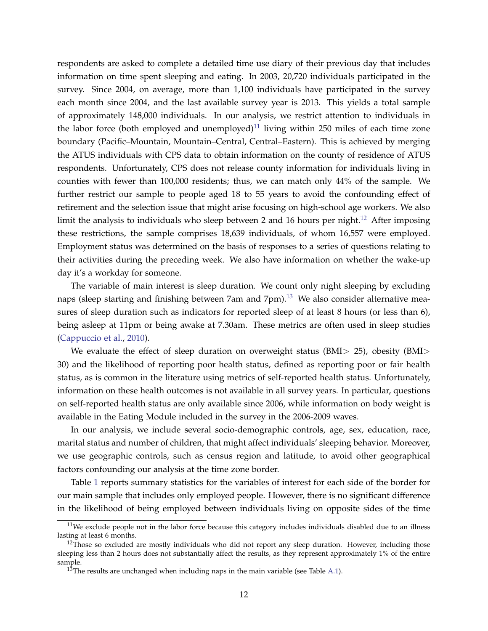respondents are asked to complete a detailed time use diary of their previous day that includes information on time spent sleeping and eating. In 2003, 20,720 individuals participated in the survey. Since 2004, on average, more than 1,100 individuals have participated in the survey each month since 2004, and the last available survey year is 2013. This yields a total sample of approximately 148,000 individuals. In our analysis, we restrict attention to individuals in the labor force (both employed and unemployed)<sup>[11](#page-14-0)</sup> living within 250 miles of each time zone boundary (Pacific–Mountain, Mountain–Central, Central–Eastern). This is achieved by merging the ATUS individuals with CPS data to obtain information on the county of residence of ATUS respondents. Unfortunately, CPS does not release county information for individuals living in counties with fewer than 100,000 residents; thus, we can match only 44% of the sample. We further restrict our sample to people aged 18 to 55 years to avoid the confounding effect of retirement and the selection issue that might arise focusing on high-school age workers. We also limit the analysis to individuals who sleep between 2 and 16 hours per night.<sup>[12](#page-14-1)</sup> After imposing these restrictions, the sample comprises 18,639 individuals, of whom 16,557 were employed. Employment status was determined on the basis of responses to a series of questions relating to their activities during the preceding week. We also have information on whether the wake-up day it's a workday for someone.

The variable of main interest is sleep duration. We count only night sleeping by excluding naps (sleep starting and finishing between 7am and  $7 \text{pm}$ ).<sup>[13](#page-14-2)</sup> We also consider alternative measures of sleep duration such as indicators for reported sleep of at least 8 hours (or less than 6), being asleep at 11pm or being awake at 7.30am. These metrics are often used in sleep studies [\(Cappuccio et al.,](#page-28-3) [2010\)](#page-28-3).

We evaluate the effect of sleep duration on overweight status (BMI> 25), obesity (BMI> 30) and the likelihood of reporting poor health status, defined as reporting poor or fair health status, as is common in the literature using metrics of self-reported health status. Unfortunately, information on these health outcomes is not available in all survey years. In particular, questions on self-reported health status are only available since 2006, while information on body weight is available in the Eating Module included in the survey in the 2006-2009 waves.

In our analysis, we include several socio-demographic controls, age, sex, education, race, marital status and number of children, that might affect individuals' sleeping behavior. Moreover, we use geographic controls, such as census region and latitude, to avoid other geographical factors confounding our analysis at the time zone border.

Table [1](#page-39-0) reports summary statistics for the variables of interest for each side of the border for our main sample that includes only employed people. However, there is no significant difference in the likelihood of being employed between individuals living on opposite sides of the time

<span id="page-14-0"></span> $11$ We exclude people not in the labor force because this category includes individuals disabled due to an illness lasting at least 6 months.

<span id="page-14-1"></span> $12$ Those so excluded are mostly individuals who did not report any sleep duration. However, including those sleeping less than 2 hours does not substantially affect the results, as they represent approximately 1% of the entire sample.

<span id="page-14-2"></span> $13$ The results are unchanged when including naps in the main variable (see Table [A.1\)](#page-51-0).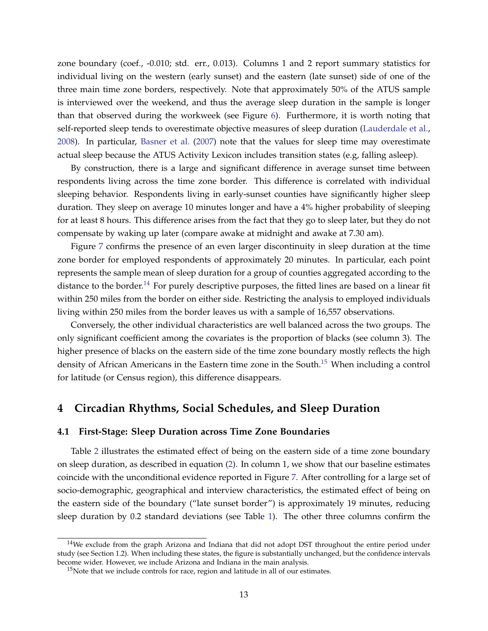zone boundary (coef., -0.010; std. err., 0.013). Columns 1 and 2 report summary statistics for individual living on the western (early sunset) and the eastern (late sunset) side of one of the three main time zone borders, respectively. Note that approximately 50% of the ATUS sample is interviewed over the weekend, and thus the average sleep duration in the sample is longer than that observed during the workweek (see Figure [6\)](#page-37-1). Furthermore, it is worth noting that self-reported sleep tends to overestimate objective measures of sleep duration [\(Lauderdale et al.,](#page-30-10) [2008\)](#page-30-10). In particular, [Basner et al.](#page-28-12) [\(2007\)](#page-28-12) note that the values for sleep time may overestimate actual sleep because the ATUS Activity Lexicon includes transition states (e.g, falling asleep).

By construction, there is a large and significant difference in average sunset time between respondents living across the time zone border. This difference is correlated with individual sleeping behavior. Respondents living in early-sunset counties have significantly higher sleep duration. They sleep on average 10 minutes longer and have a 4% higher probability of sleeping for at least 8 hours. This difference arises from the fact that they go to sleep later, but they do not compensate by waking up later (compare awake at midnight and awake at 7.30 am).

Figure [7](#page-38-0) confirms the presence of an even larger discontinuity in sleep duration at the time zone border for employed respondents of approximately 20 minutes. In particular, each point represents the sample mean of sleep duration for a group of counties aggregated according to the distance to the border.<sup>[14](#page-15-1)</sup> For purely descriptive purposes, the fitted lines are based on a linear fit within 250 miles from the border on either side. Restricting the analysis to employed individuals living within 250 miles from the border leaves us with a sample of 16,557 observations.

Conversely, the other individual characteristics are well balanced across the two groups. The only significant coefficient among the covariates is the proportion of blacks (see column 3). The higher presence of blacks on the eastern side of the time zone boundary mostly reflects the high density of African Americans in the Eastern time zone in the South.<sup>[15](#page-15-2)</sup> When including a control for latitude (or Census region), this difference disappears.

### <span id="page-15-0"></span>**4 Circadian Rhythms, Social Schedules, and Sleep Duration**

#### **4.1 First-Stage: Sleep Duration across Time Zone Boundaries**

Table [2](#page-40-0) illustrates the estimated effect of being on the eastern side of a time zone boundary on sleep duration, as described in equation [\(2\)](#page-12-0). In column 1, we show that our baseline estimates coincide with the unconditional evidence reported in Figure [7.](#page-38-0) After controlling for a large set of socio-demographic, geographical and interview characteristics, the estimated effect of being on the eastern side of the boundary ("late sunset border") is approximately 19 minutes, reducing sleep duration by 0.2 standard deviations (see Table [1\)](#page-39-0). The other three columns confirm the

<span id="page-15-1"></span> $14$ We exclude from the graph Arizona and Indiana that did not adopt DST throughout the entire period under study (see Section 1.2). When including these states, the figure is substantially unchanged, but the confidence intervals become wider. However, we include Arizona and Indiana in the main analysis.

<span id="page-15-2"></span> $15$ Note that we include controls for race, region and latitude in all of our estimates.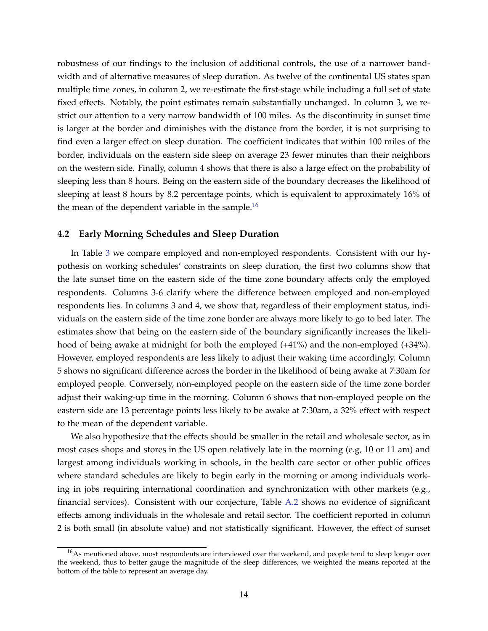robustness of our findings to the inclusion of additional controls, the use of a narrower bandwidth and of alternative measures of sleep duration. As twelve of the continental US states span multiple time zones, in column 2, we re-estimate the first-stage while including a full set of state fixed effects. Notably, the point estimates remain substantially unchanged. In column 3, we restrict our attention to a very narrow bandwidth of 100 miles. As the discontinuity in sunset time is larger at the border and diminishes with the distance from the border, it is not surprising to find even a larger effect on sleep duration. The coefficient indicates that within 100 miles of the border, individuals on the eastern side sleep on average 23 fewer minutes than their neighbors on the western side. Finally, column 4 shows that there is also a large effect on the probability of sleeping less than 8 hours. Being on the eastern side of the boundary decreases the likelihood of sleeping at least 8 hours by 8.2 percentage points, which is equivalent to approximately 16% of the mean of the dependent variable in the sample.<sup>[16](#page-16-0)</sup>

#### **4.2 Early Morning Schedules and Sleep Duration**

In Table [3](#page-41-0) we compare employed and non-employed respondents. Consistent with our hypothesis on working schedules' constraints on sleep duration, the first two columns show that the late sunset time on the eastern side of the time zone boundary affects only the employed respondents. Columns 3-6 clarify where the difference between employed and non-employed respondents lies. In columns 3 and 4, we show that, regardless of their employment status, individuals on the eastern side of the time zone border are always more likely to go to bed later. The estimates show that being on the eastern side of the boundary significantly increases the likelihood of being awake at midnight for both the employed (+41%) and the non-employed (+34%). However, employed respondents are less likely to adjust their waking time accordingly. Column 5 shows no significant difference across the border in the likelihood of being awake at 7:30am for employed people. Conversely, non-employed people on the eastern side of the time zone border adjust their waking-up time in the morning. Column 6 shows that non-employed people on the eastern side are 13 percentage points less likely to be awake at 7:30am, a 32% effect with respect to the mean of the dependent variable.

We also hypothesize that the effects should be smaller in the retail and wholesale sector, as in most cases shops and stores in the US open relatively late in the morning (e.g, 10 or 11 am) and largest among individuals working in schools, in the health care sector or other public offices where standard schedules are likely to begin early in the morning or among individuals working in jobs requiring international coordination and synchronization with other markets (e.g., financial services). Consistent with our conjecture, Table [A.2](#page-52-0) shows no evidence of significant effects among individuals in the wholesale and retail sector. The coefficient reported in column 2 is both small (in absolute value) and not statistically significant. However, the effect of sunset

<span id="page-16-0"></span><sup>&</sup>lt;sup>16</sup>As mentioned above, most respondents are interviewed over the weekend, and people tend to sleep longer over the weekend, thus to better gauge the magnitude of the sleep differences, we weighted the means reported at the bottom of the table to represent an average day.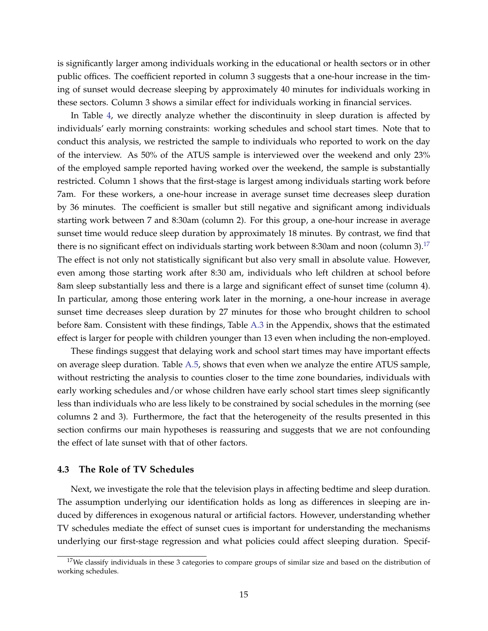is significantly larger among individuals working in the educational or health sectors or in other public offices. The coefficient reported in column 3 suggests that a one-hour increase in the timing of sunset would decrease sleeping by approximately 40 minutes for individuals working in these sectors. Column 3 shows a similar effect for individuals working in financial services.

In Table [4,](#page-42-0) we directly analyze whether the discontinuity in sleep duration is affected by individuals' early morning constraints: working schedules and school start times. Note that to conduct this analysis, we restricted the sample to individuals who reported to work on the day of the interview. As 50% of the ATUS sample is interviewed over the weekend and only 23% of the employed sample reported having worked over the weekend, the sample is substantially restricted. Column 1 shows that the first-stage is largest among individuals starting work before 7am. For these workers, a one-hour increase in average sunset time decreases sleep duration by 36 minutes. The coefficient is smaller but still negative and significant among individuals starting work between 7 and 8:30am (column 2). For this group, a one-hour increase in average sunset time would reduce sleep duration by approximately 18 minutes. By contrast, we find that there is no significant effect on individuals starting work between 8:30am and noon (column 3).<sup>[17](#page-17-1)</sup> The effect is not only not statistically significant but also very small in absolute value. However, even among those starting work after 8:30 am, individuals who left children at school before 8am sleep substantially less and there is a large and significant effect of sunset time (column 4). In particular, among those entering work later in the morning, a one-hour increase in average sunset time decreases sleep duration by 27 minutes for those who brought children to school before 8am. Consistent with these findings, Table [A.3](#page-52-1) in the Appendix, shows that the estimated effect is larger for people with children younger than 13 even when including the non-employed.

These findings suggest that delaying work and school start times may have important effects on average sleep duration. Table [A.5,](#page-54-0) shows that even when we analyze the entire ATUS sample, without restricting the analysis to counties closer to the time zone boundaries, individuals with early working schedules and/or whose children have early school start times sleep significantly less than individuals who are less likely to be constrained by social schedules in the morning (see columns 2 and 3). Furthermore, the fact that the heterogeneity of the results presented in this section confirms our main hypotheses is reassuring and suggests that we are not confounding the effect of late sunset with that of other factors.

#### <span id="page-17-0"></span>**4.3 The Role of TV Schedules**

Next, we investigate the role that the television plays in affecting bedtime and sleep duration. The assumption underlying our identification holds as long as differences in sleeping are induced by differences in exogenous natural or artificial factors. However, understanding whether TV schedules mediate the effect of sunset cues is important for understanding the mechanisms underlying our first-stage regression and what policies could affect sleeping duration. Specif-

<span id="page-17-1"></span> $17$ We classify individuals in these 3 categories to compare groups of similar size and based on the distribution of working schedules.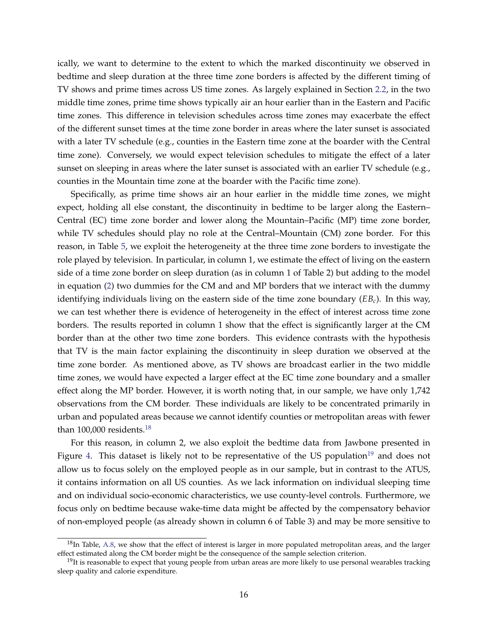ically, we want to determine to the extent to which the marked discontinuity we observed in bedtime and sleep duration at the three time zone borders is affected by the different timing of TV shows and prime times across US time zones. As largely explained in Section [2.2,](#page-9-0) in the two middle time zones, prime time shows typically air an hour earlier than in the Eastern and Pacific time zones. This difference in television schedules across time zones may exacerbate the effect of the different sunset times at the time zone border in areas where the later sunset is associated with a later TV schedule (e.g., counties in the Eastern time zone at the boarder with the Central time zone). Conversely, we would expect television schedules to mitigate the effect of a later sunset on sleeping in areas where the later sunset is associated with an earlier TV schedule (e.g., counties in the Mountain time zone at the boarder with the Pacific time zone).

Specifically, as prime time shows air an hour earlier in the middle time zones, we might expect, holding all else constant, the discontinuity in bedtime to be larger along the Eastern– Central (EC) time zone border and lower along the Mountain–Pacific (MP) time zone border, while TV schedules should play no role at the Central–Mountain (CM) zone border. For this reason, in Table [5,](#page-43-0) we exploit the heterogeneity at the three time zone borders to investigate the role played by television. In particular, in column 1, we estimate the effect of living on the eastern side of a time zone border on sleep duration (as in column 1 of Table 2) but adding to the model in equation [\(2\)](#page-12-0) two dummies for the CM and and MP borders that we interact with the dummy identifying individuals living on the eastern side of the time zone boundary (*EBc*). In this way, we can test whether there is evidence of heterogeneity in the effect of interest across time zone borders. The results reported in column 1 show that the effect is significantly larger at the CM border than at the other two time zone borders. This evidence contrasts with the hypothesis that TV is the main factor explaining the discontinuity in sleep duration we observed at the time zone border. As mentioned above, as TV shows are broadcast earlier in the two middle time zones, we would have expected a larger effect at the EC time zone boundary and a smaller effect along the MP border. However, it is worth noting that, in our sample, we have only 1,742 observations from the CM border. These individuals are likely to be concentrated primarily in urban and populated areas because we cannot identify counties or metropolitan areas with fewer than  $100,000$  residents.<sup>[18](#page-18-0)</sup>

For this reason, in column 2, we also exploit the bedtime data from Jawbone presented in Figure [4.](#page-36-0) This dataset is likely not to be representative of the US population<sup>[19](#page-18-1)</sup> and does not allow us to focus solely on the employed people as in our sample, but in contrast to the ATUS, it contains information on all US counties. As we lack information on individual sleeping time and on individual socio-economic characteristics, we use county-level controls. Furthermore, we focus only on bedtime because wake-time data might be affected by the compensatory behavior of non-employed people (as already shown in column 6 of Table 3) and may be more sensitive to

<span id="page-18-0"></span> $18$ In Table, [A.8,](#page-57-0) we show that the effect of interest is larger in more populated metropolitan areas, and the larger effect estimated along the CM border might be the consequence of the sample selection criterion.

<span id="page-18-1"></span> $19$ It is reasonable to expect that young people from urban areas are more likely to use personal wearables tracking sleep quality and calorie expenditure.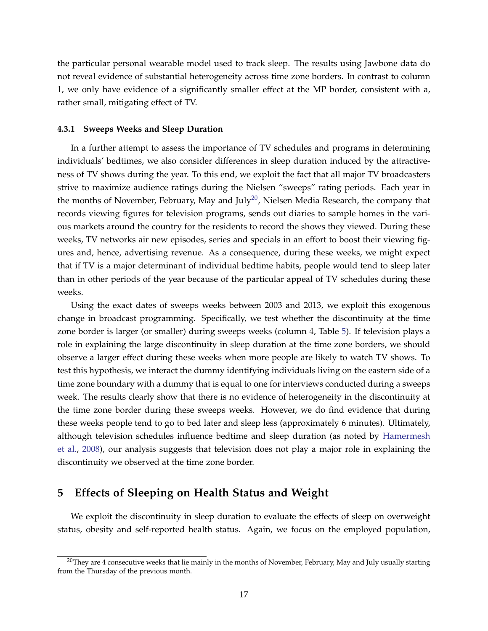the particular personal wearable model used to track sleep. The results using Jawbone data do not reveal evidence of substantial heterogeneity across time zone borders. In contrast to column 1, we only have evidence of a significantly smaller effect at the MP border, consistent with a, rather small, mitigating effect of TV.

#### **4.3.1 Sweeps Weeks and Sleep Duration**

In a further attempt to assess the importance of TV schedules and programs in determining individuals' bedtimes, we also consider differences in sleep duration induced by the attractiveness of TV shows during the year. To this end, we exploit the fact that all major TV broadcasters strive to maximize audience ratings during the Nielsen "sweeps" rating periods. Each year in the months of November, February, May and July<sup>[20](#page-19-0)</sup>, Nielsen Media Research, the company that records viewing figures for television programs, sends out diaries to sample homes in the various markets around the country for the residents to record the shows they viewed. During these weeks, TV networks air new episodes, series and specials in an effort to boost their viewing figures and, hence, advertising revenue. As a consequence, during these weeks, we might expect that if TV is a major determinant of individual bedtime habits, people would tend to sleep later than in other periods of the year because of the particular appeal of TV schedules during these weeks.

Using the exact dates of sweeps weeks between 2003 and 2013, we exploit this exogenous change in broadcast programming. Specifically, we test whether the discontinuity at the time zone border is larger (or smaller) during sweeps weeks (column 4, Table [5\)](#page-43-0). If television plays a role in explaining the large discontinuity in sleep duration at the time zone borders, we should observe a larger effect during these weeks when more people are likely to watch TV shows. To test this hypothesis, we interact the dummy identifying individuals living on the eastern side of a time zone boundary with a dummy that is equal to one for interviews conducted during a sweeps week. The results clearly show that there is no evidence of heterogeneity in the discontinuity at the time zone border during these sweeps weeks. However, we do find evidence that during these weeks people tend to go to bed later and sleep less (approximately 6 minutes). Ultimately, although television schedules influence bedtime and sleep duration (as noted by [Hamermesh](#page-29-7) [et al.,](#page-29-7) [2008\)](#page-29-7), our analysis suggests that television does not play a major role in explaining the discontinuity we observed at the time zone border.

### **5 Effects of Sleeping on Health Status and Weight**

We exploit the discontinuity in sleep duration to evaluate the effects of sleep on overweight status, obesity and self-reported health status. Again, we focus on the employed population,

<span id="page-19-0"></span><sup>&</sup>lt;sup>20</sup>They are 4 consecutive weeks that lie mainly in the months of November, February, May and July usually starting from the Thursday of the previous month.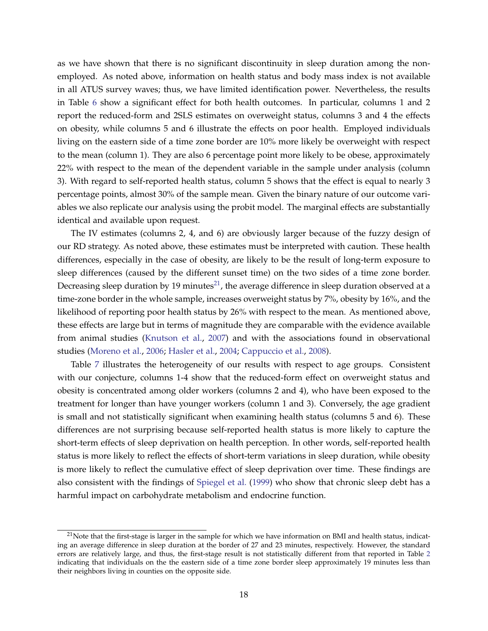as we have shown that there is no significant discontinuity in sleep duration among the nonemployed. As noted above, information on health status and body mass index is not available in all ATUS survey waves; thus, we have limited identification power. Nevertheless, the results in Table [6](#page-44-0) show a significant effect for both health outcomes. In particular, columns 1 and 2 report the reduced-form and 2SLS estimates on overweight status, columns 3 and 4 the effects on obesity, while columns 5 and 6 illustrate the effects on poor health. Employed individuals living on the eastern side of a time zone border are 10% more likely be overweight with respect to the mean (column 1). They are also 6 percentage point more likely to be obese, approximately 22% with respect to the mean of the dependent variable in the sample under analysis (column 3). With regard to self-reported health status, column 5 shows that the effect is equal to nearly 3 percentage points, almost 30% of the sample mean. Given the binary nature of our outcome variables we also replicate our analysis using the probit model. The marginal effects are substantially identical and available upon request.

The IV estimates (columns 2, 4, and 6) are obviously larger because of the fuzzy design of our RD strategy. As noted above, these estimates must be interpreted with caution. These health differences, especially in the case of obesity, are likely to be the result of long-term exposure to sleep differences (caused by the different sunset time) on the two sides of a time zone border. Decreasing sleep duration by 19 minutes<sup>[21](#page-20-0)</sup>, the average difference in sleep duration observed at a time-zone border in the whole sample, increases overweight status by 7%, obesity by 16%, and the likelihood of reporting poor health status by 26% with respect to the mean. As mentioned above, these effects are large but in terms of magnitude they are comparable with the evidence available from animal studies [\(Knutson et al.,](#page-30-5) [2007\)](#page-30-5) and with the associations found in observational studies [\(Moreno et al.,](#page-30-4) [2006;](#page-30-4) [Hasler et al.,](#page-29-9) [2004;](#page-29-9) [Cappuccio et al.,](#page-28-9) [2008\)](#page-28-9).

Table [7](#page-45-0) illustrates the heterogeneity of our results with respect to age groups. Consistent with our conjecture, columns 1-4 show that the reduced-form effect on overweight status and obesity is concentrated among older workers (columns 2 and 4), who have been exposed to the treatment for longer than have younger workers (column 1 and 3). Conversely, the age gradient is small and not statistically significant when examining health status (columns 5 and 6). These differences are not surprising because self-reported health status is more likely to capture the short-term effects of sleep deprivation on health perception. In other words, self-reported health status is more likely to reflect the effects of short-term variations in sleep duration, while obesity is more likely to reflect the cumulative effect of sleep deprivation over time. These findings are also consistent with the findings of [Spiegel et al.](#page-31-2) [\(1999\)](#page-31-2) who show that chronic sleep debt has a harmful impact on carbohydrate metabolism and endocrine function.

<span id="page-20-0"></span> $21$ Note that the first-stage is larger in the sample for which we have information on BMI and health status, indicating an average difference in sleep duration at the border of 27 and 23 minutes, respectively. However, the standard errors are relatively large, and thus, the first-stage result is not statistically different from that reported in Table [2](#page-40-0) indicating that individuals on the the eastern side of a time zone border sleep approximately 19 minutes less than their neighbors living in counties on the opposite side.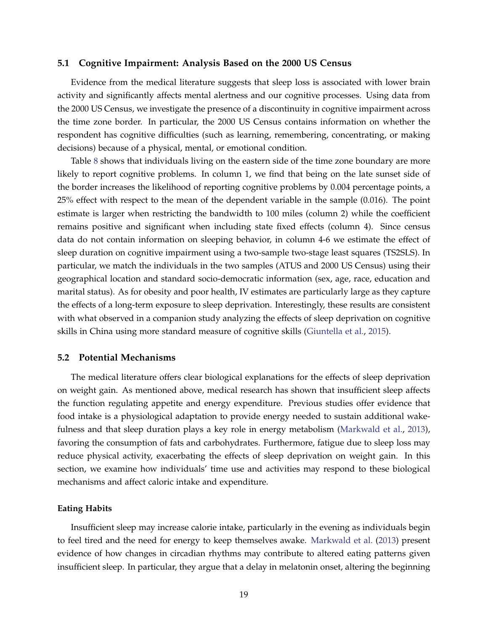#### **5.1 Cognitive Impairment: Analysis Based on the 2000 US Census**

Evidence from the medical literature suggests that sleep loss is associated with lower brain activity and significantly affects mental alertness and our cognitive processes. Using data from the 2000 US Census, we investigate the presence of a discontinuity in cognitive impairment across the time zone border. In particular, the 2000 US Census contains information on whether the respondent has cognitive difficulties (such as learning, remembering, concentrating, or making decisions) because of a physical, mental, or emotional condition.

Table [8](#page-46-0) shows that individuals living on the eastern side of the time zone boundary are more likely to report cognitive problems. In column 1, we find that being on the late sunset side of the border increases the likelihood of reporting cognitive problems by 0.004 percentage points, a 25% effect with respect to the mean of the dependent variable in the sample (0.016). The point estimate is larger when restricting the bandwidth to 100 miles (column 2) while the coefficient remains positive and significant when including state fixed effects (column 4). Since census data do not contain information on sleeping behavior, in column 4-6 we estimate the effect of sleep duration on cognitive impairment using a two-sample two-stage least squares (TS2SLS). In particular, we match the individuals in the two samples (ATUS and 2000 US Census) using their geographical location and standard socio-democratic information (sex, age, race, education and marital status). As for obesity and poor health, IV estimates are particularly large as they capture the effects of a long-term exposure to sleep deprivation. Interestingly, these results are consistent with what observed in a companion study analyzing the effects of sleep deprivation on cognitive skills in China using more standard measure of cognitive skills [\(Giuntella et al.,](#page-29-0) [2015\)](#page-29-0).

#### **5.2 Potential Mechanisms**

The medical literature offers clear biological explanations for the effects of sleep deprivation on weight gain. As mentioned above, medical research has shown that insufficient sleep affects the function regulating appetite and energy expenditure. Previous studies offer evidence that food intake is a physiological adaptation to provide energy needed to sustain additional wakefulness and that sleep duration plays a key role in energy metabolism [\(Markwald et al.,](#page-30-0) [2013\)](#page-30-0), favoring the consumption of fats and carbohydrates. Furthermore, fatigue due to sleep loss may reduce physical activity, exacerbating the effects of sleep deprivation on weight gain. In this section, we examine how individuals' time use and activities may respond to these biological mechanisms and affect caloric intake and expenditure.

#### **Eating Habits**

Insufficient sleep may increase calorie intake, particularly in the evening as individuals begin to feel tired and the need for energy to keep themselves awake. [Markwald et al.](#page-30-0) [\(2013\)](#page-30-0) present evidence of how changes in circadian rhythms may contribute to altered eating patterns given insufficient sleep. In particular, they argue that a delay in melatonin onset, altering the beginning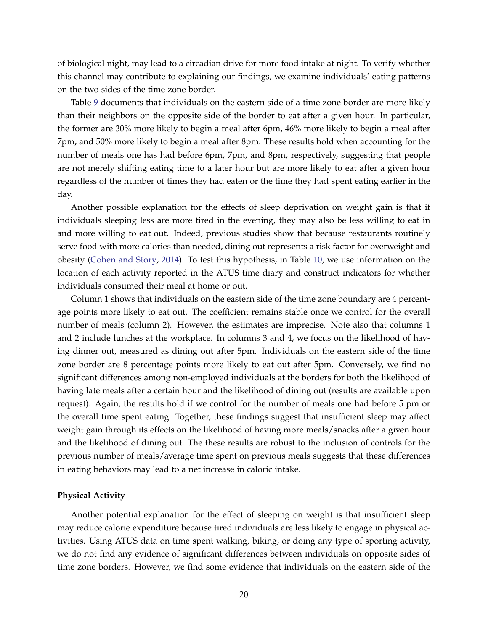of biological night, may lead to a circadian drive for more food intake at night. To verify whether this channel may contribute to explaining our findings, we examine individuals' eating patterns on the two sides of the time zone border.

Table [9](#page-47-0) documents that individuals on the eastern side of a time zone border are more likely than their neighbors on the opposite side of the border to eat after a given hour. In particular, the former are 30% more likely to begin a meal after 6pm, 46% more likely to begin a meal after 7pm, and 50% more likely to begin a meal after 8pm. These results hold when accounting for the number of meals one has had before 6pm, 7pm, and 8pm, respectively, suggesting that people are not merely shifting eating time to a later hour but are more likely to eat after a given hour regardless of the number of times they had eaten or the time they had spent eating earlier in the day.

Another possible explanation for the effects of sleep deprivation on weight gain is that if individuals sleeping less are more tired in the evening, they may also be less willing to eat in and more willing to eat out. Indeed, previous studies show that because restaurants routinely serve food with more calories than needed, dining out represents a risk factor for overweight and obesity [\(Cohen and Story,](#page-29-12) [2014\)](#page-29-12). To test this hypothesis, in Table [10,](#page-48-0) we use information on the location of each activity reported in the ATUS time diary and construct indicators for whether individuals consumed their meal at home or out.

Column 1 shows that individuals on the eastern side of the time zone boundary are 4 percentage points more likely to eat out. The coefficient remains stable once we control for the overall number of meals (column 2). However, the estimates are imprecise. Note also that columns 1 and 2 include lunches at the workplace. In columns 3 and 4, we focus on the likelihood of having dinner out, measured as dining out after 5pm. Individuals on the eastern side of the time zone border are 8 percentage points more likely to eat out after 5pm. Conversely, we find no significant differences among non-employed individuals at the borders for both the likelihood of having late meals after a certain hour and the likelihood of dining out (results are available upon request). Again, the results hold if we control for the number of meals one had before 5 pm or the overall time spent eating. Together, these findings suggest that insufficient sleep may affect weight gain through its effects on the likelihood of having more meals/snacks after a given hour and the likelihood of dining out. The these results are robust to the inclusion of controls for the previous number of meals/average time spent on previous meals suggests that these differences in eating behaviors may lead to a net increase in caloric intake.

#### **Physical Activity**

Another potential explanation for the effect of sleeping on weight is that insufficient sleep may reduce calorie expenditure because tired individuals are less likely to engage in physical activities. Using ATUS data on time spent walking, biking, or doing any type of sporting activity, we do not find any evidence of significant differences between individuals on opposite sides of time zone borders. However, we find some evidence that individuals on the eastern side of the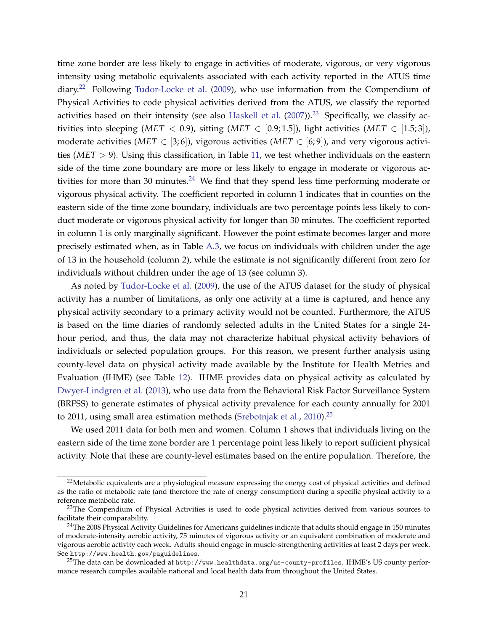time zone border are less likely to engage in activities of moderate, vigorous, or very vigorous intensity using metabolic equivalents associated with each activity reported in the ATUS time diary.<sup>[22](#page-23-0)</sup> Following [Tudor-Locke et al.](#page-31-10) [\(2009\)](#page-31-10), who use information from the Compendium of Physical Activities to code physical activities derived from the ATUS, we classify the reported activities based on their intensity (see also [Haskell et al.](#page-29-13)  $(2007)$ ).<sup>[23](#page-23-1)</sup> Specifically, we classify activities into sleeping (*MET* < 0.9), sitting (*MET*  $\in$  [0.9; 1.5]), light activities (*MET*  $\in$  [1.5; 3]), moderate activities ( $MET \in [3, 6]$ ), vigorous activities ( $MET \in [6, 9]$ ), and very vigorous activities (*MET* > 9). Using this classification, in Table [11,](#page-49-0) we test whether individuals on the eastern side of the time zone boundary are more or less likely to engage in moderate or vigorous ac-tivities for more than 30 minutes.<sup>[24](#page-23-2)</sup> We find that they spend less time performing moderate or vigorous physical activity. The coefficient reported in column 1 indicates that in counties on the eastern side of the time zone boundary, individuals are two percentage points less likely to conduct moderate or vigorous physical activity for longer than 30 minutes. The coefficient reported in column 1 is only marginally significant. However the point estimate becomes larger and more precisely estimated when, as in Table [A.3,](#page-52-1) we focus on individuals with children under the age of 13 in the household (column 2), while the estimate is not significantly different from zero for individuals without children under the age of 13 (see column 3).

As noted by [Tudor-Locke et al.](#page-31-10) [\(2009\)](#page-31-10), the use of the ATUS dataset for the study of physical activity has a number of limitations, as only one activity at a time is captured, and hence any physical activity secondary to a primary activity would not be counted. Furthermore, the ATUS is based on the time diaries of randomly selected adults in the United States for a single 24 hour period, and thus, the data may not characterize habitual physical activity behaviors of individuals or selected population groups. For this reason, we present further analysis using county-level data on physical activity made available by the Institute for Health Metrics and Evaluation (IHME) (see Table [12\)](#page-50-0). IHME provides data on physical activity as calculated by [Dwyer-Lindgren et al.](#page-29-14) [\(2013\)](#page-29-14), who use data from the Behavioral Risk Factor Surveillance System (BRFSS) to generate estimates of physical activity prevalence for each county annually for 2001 to 2011, using small area estimation methods [\(Srebotnjak et al.,](#page-31-11) [2010\)](#page-31-11).<sup>[25](#page-23-3)</sup>

We used 2011 data for both men and women. Column 1 shows that individuals living on the eastern side of the time zone border are 1 percentage point less likely to report sufficient physical activity. Note that these are county-level estimates based on the entire population. Therefore, the

<span id="page-23-0"></span> $22$ Metabolic equivalents are a physiological measure expressing the energy cost of physical activities and defined as the ratio of metabolic rate (and therefore the rate of energy consumption) during a specific physical activity to a reference metabolic rate.

<span id="page-23-1"></span><sup>&</sup>lt;sup>23</sup>The Compendium of Physical Activities is used to code physical activities derived from various sources to facilitate their comparability.

<span id="page-23-2"></span> $24$ The 2008 Physical Activity Guidelines for Americans guidelines indicate that adults should engage in 150 minutes of moderate-intensity aerobic activity, 75 minutes of vigorous activity or an equivalent combination of moderate and vigorous aerobic activity each week. Adults should engage in muscle-strengthening activities at least 2 days per week. See <http://www.health.gov/paguidelines>.

<span id="page-23-3"></span><sup>&</sup>lt;sup>25</sup>The data can be downloaded at <http://www.healthdata.org/us-county-profiles>. IHME's US county performance research compiles available national and local health data from throughout the United States.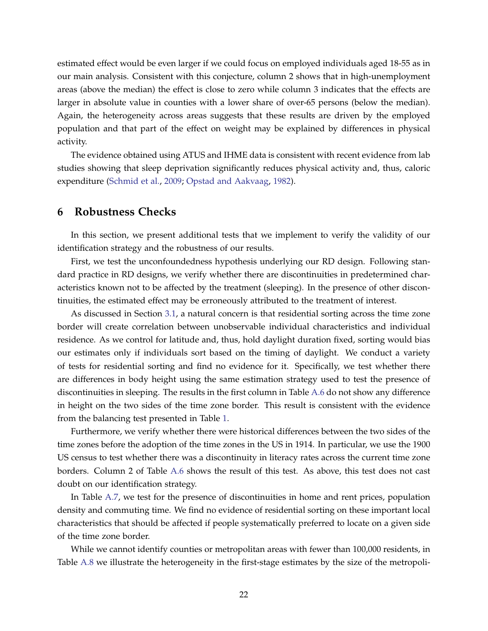estimated effect would be even larger if we could focus on employed individuals aged 18-55 as in our main analysis. Consistent with this conjecture, column 2 shows that in high-unemployment areas (above the median) the effect is close to zero while column 3 indicates that the effects are larger in absolute value in counties with a lower share of over-65 persons (below the median). Again, the heterogeneity across areas suggests that these results are driven by the employed population and that part of the effect on weight may be explained by differences in physical activity.

The evidence obtained using ATUS and IHME data is consistent with recent evidence from lab studies showing that sleep deprivation significantly reduces physical activity and, thus, caloric expenditure [\(Schmid et al.,](#page-31-12) [2009;](#page-31-12) [Opstad and Aakvaag,](#page-30-11) [1982\)](#page-30-11).

### <span id="page-24-0"></span>**6 Robustness Checks**

In this section, we present additional tests that we implement to verify the validity of our identification strategy and the robustness of our results.

First, we test the unconfoundedness hypothesis underlying our RD design. Following standard practice in RD designs, we verify whether there are discontinuities in predetermined characteristics known not to be affected by the treatment (sleeping). In the presence of other discontinuities, the estimated effect may be erroneously attributed to the treatment of interest.

As discussed in Section [3.1,](#page-10-1) a natural concern is that residential sorting across the time zone border will create correlation between unobservable individual characteristics and individual residence. As we control for latitude and, thus, hold daylight duration fixed, sorting would bias our estimates only if individuals sort based on the timing of daylight. We conduct a variety of tests for residential sorting and find no evidence for it. Specifically, we test whether there are differences in body height using the same estimation strategy used to test the presence of discontinuities in sleeping. The results in the first column in Table [A.6](#page-55-0) do not show any difference in height on the two sides of the time zone border. This result is consistent with the evidence from the balancing test presented in Table [1.](#page-39-0)

Furthermore, we verify whether there were historical differences between the two sides of the time zones before the adoption of the time zones in the US in 1914. In particular, we use the 1900 US census to test whether there was a discontinuity in literacy rates across the current time zone borders. Column 2 of Table [A.6](#page-55-0) shows the result of this test. As above, this test does not cast doubt on our identification strategy.

In Table [A.7,](#page-56-0) we test for the presence of discontinuities in home and rent prices, population density and commuting time. We find no evidence of residential sorting on these important local characteristics that should be affected if people systematically preferred to locate on a given side of the time zone border.

While we cannot identify counties or metropolitan areas with fewer than 100,000 residents, in Table [A.8](#page-57-0) we illustrate the heterogeneity in the first-stage estimates by the size of the metropoli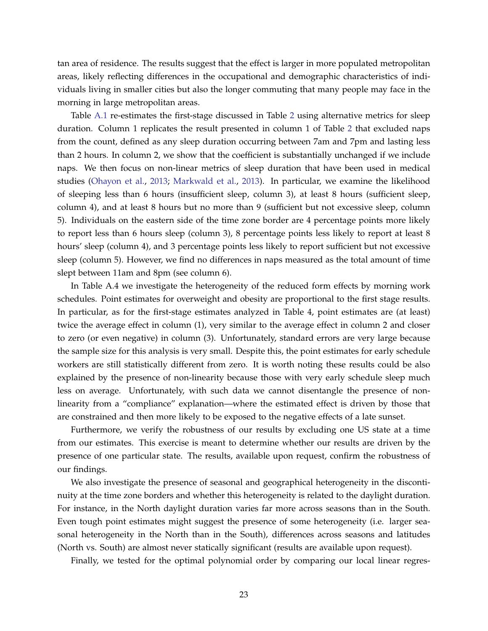tan area of residence. The results suggest that the effect is larger in more populated metropolitan areas, likely reflecting differences in the occupational and demographic characteristics of individuals living in smaller cities but also the longer commuting that many people may face in the morning in large metropolitan areas.

Table [A.1](#page-51-0) re-estimates the first-stage discussed in Table [2](#page-40-0) using alternative metrics for sleep duration. Column 1 replicates the result presented in column 1 of Table [2](#page-40-0) that excluded naps from the count, defined as any sleep duration occurring between 7am and 7pm and lasting less than 2 hours. In column 2, we show that the coefficient is substantially unchanged if we include naps. We then focus on non-linear metrics of sleep duration that have been used in medical studies [\(Ohayon et al.,](#page-30-12) [2013;](#page-30-12) [Markwald et al.,](#page-30-0) [2013\)](#page-30-0). In particular, we examine the likelihood of sleeping less than 6 hours (insufficient sleep, column 3), at least 8 hours (sufficient sleep, column 4), and at least 8 hours but no more than 9 (sufficient but not excessive sleep, column 5). Individuals on the eastern side of the time zone border are 4 percentage points more likely to report less than 6 hours sleep (column 3), 8 percentage points less likely to report at least 8 hours' sleep (column 4), and 3 percentage points less likely to report sufficient but not excessive sleep (column 5). However, we find no differences in naps measured as the total amount of time slept between 11am and 8pm (see column 6).

In Table A.4 we investigate the heterogeneity of the reduced form effects by morning work schedules. Point estimates for overweight and obesity are proportional to the first stage results. In particular, as for the first-stage estimates analyzed in Table 4, point estimates are (at least) twice the average effect in column (1), very similar to the average effect in column 2 and closer to zero (or even negative) in column (3). Unfortunately, standard errors are very large because the sample size for this analysis is very small. Despite this, the point estimates for early schedule workers are still statistically different from zero. It is worth noting these results could be also explained by the presence of non-linearity because those with very early schedule sleep much less on average. Unfortunately, with such data we cannot disentangle the presence of nonlinearity from a "compliance" explanation—where the estimated effect is driven by those that are constrained and then more likely to be exposed to the negative effects of a late sunset.

Furthermore, we verify the robustness of our results by excluding one US state at a time from our estimates. This exercise is meant to determine whether our results are driven by the presence of one particular state. The results, available upon request, confirm the robustness of our findings.

We also investigate the presence of seasonal and geographical heterogeneity in the discontinuity at the time zone borders and whether this heterogeneity is related to the daylight duration. For instance, in the North daylight duration varies far more across seasons than in the South. Even tough point estimates might suggest the presence of some heterogeneity (i.e. larger seasonal heterogeneity in the North than in the South), differences across seasons and latitudes (North vs. South) are almost never statically significant (results are available upon request).

Finally, we tested for the optimal polynomial order by comparing our local linear regres-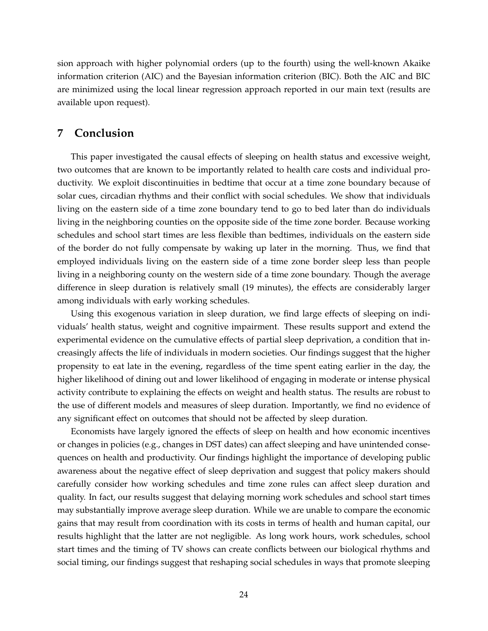sion approach with higher polynomial orders (up to the fourth) using the well-known Akaike information criterion (AIC) and the Bayesian information criterion (BIC). Both the AIC and BIC are minimized using the local linear regression approach reported in our main text (results are available upon request).

### **7 Conclusion**

This paper investigated the causal effects of sleeping on health status and excessive weight, two outcomes that are known to be importantly related to health care costs and individual productivity. We exploit discontinuities in bedtime that occur at a time zone boundary because of solar cues, circadian rhythms and their conflict with social schedules. We show that individuals living on the eastern side of a time zone boundary tend to go to bed later than do individuals living in the neighboring counties on the opposite side of the time zone border. Because working schedules and school start times are less flexible than bedtimes, individuals on the eastern side of the border do not fully compensate by waking up later in the morning. Thus, we find that employed individuals living on the eastern side of a time zone border sleep less than people living in a neighboring county on the western side of a time zone boundary. Though the average difference in sleep duration is relatively small (19 minutes), the effects are considerably larger among individuals with early working schedules.

Using this exogenous variation in sleep duration, we find large effects of sleeping on individuals' health status, weight and cognitive impairment. These results support and extend the experimental evidence on the cumulative effects of partial sleep deprivation, a condition that increasingly affects the life of individuals in modern societies. Our findings suggest that the higher propensity to eat late in the evening, regardless of the time spent eating earlier in the day, the higher likelihood of dining out and lower likelihood of engaging in moderate or intense physical activity contribute to explaining the effects on weight and health status. The results are robust to the use of different models and measures of sleep duration. Importantly, we find no evidence of any significant effect on outcomes that should not be affected by sleep duration.

Economists have largely ignored the effects of sleep on health and how economic incentives or changes in policies (e.g., changes in DST dates) can affect sleeping and have unintended consequences on health and productivity. Our findings highlight the importance of developing public awareness about the negative effect of sleep deprivation and suggest that policy makers should carefully consider how working schedules and time zone rules can affect sleep duration and quality. In fact, our results suggest that delaying morning work schedules and school start times may substantially improve average sleep duration. While we are unable to compare the economic gains that may result from coordination with its costs in terms of health and human capital, our results highlight that the latter are not negligible. As long work hours, work schedules, school start times and the timing of TV shows can create conflicts between our biological rhythms and social timing, our findings suggest that reshaping social schedules in ways that promote sleeping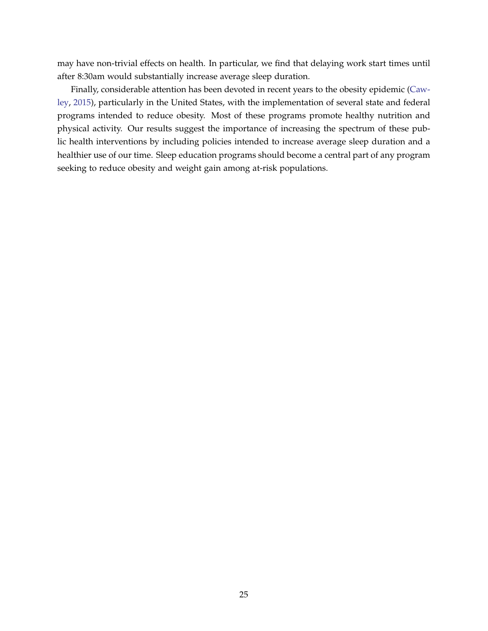may have non-trivial effects on health. In particular, we find that delaying work start times until after 8:30am would substantially increase average sleep duration.

Finally, considerable attention has been devoted in recent years to the obesity epidemic [\(Caw](#page-29-5)[ley,](#page-29-5) [2015\)](#page-29-5), particularly in the United States, with the implementation of several state and federal programs intended to reduce obesity. Most of these programs promote healthy nutrition and physical activity. Our results suggest the importance of increasing the spectrum of these public health interventions by including policies intended to increase average sleep duration and a healthier use of our time. Sleep education programs should become a central part of any program seeking to reduce obesity and weight gain among at-risk populations.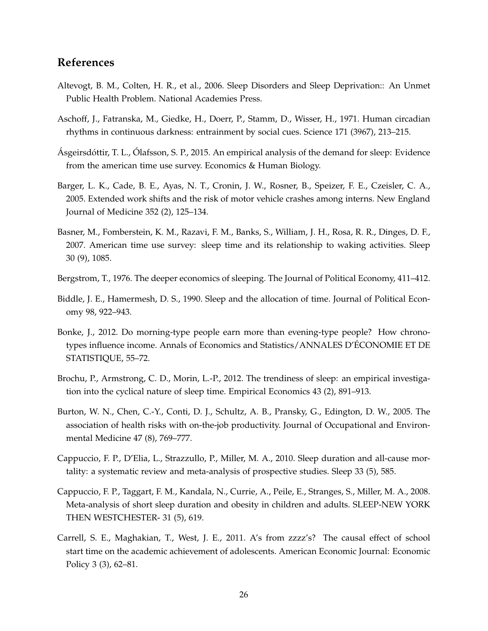# **References**

- <span id="page-28-6"></span>Altevogt, B. M., Colten, H. R., et al., 2006. Sleep Disorders and Sleep Deprivation:: An Unmet Public Health Problem. National Academies Press.
- <span id="page-28-8"></span>Aschoff, J., Fatranska, M., Giedke, H., Doerr, P., Stamm, D., Wisser, H., 1971. Human circadian rhythms in continuous darkness: entrainment by social cues. Science 171 (3967), 213–215.
- <span id="page-28-1"></span>Ásgeirsdóttir, T. L., Ólafsson, S. P., 2015. An empirical analysis of the demand for sleep: Evidence from the american time use survey. Economics & Human Biology.
- <span id="page-28-4"></span>Barger, L. K., Cade, B. E., Ayas, N. T., Cronin, J. W., Rosner, B., Speizer, F. E., Czeisler, C. A., 2005. Extended work shifts and the risk of motor vehicle crashes among interns. New England Journal of Medicine 352 (2), 125–134.
- <span id="page-28-12"></span>Basner, M., Fomberstein, K. M., Razavi, F. M., Banks, S., William, J. H., Rosa, R. R., Dinges, D. F., 2007. American time use survey: sleep time and its relationship to waking activities. Sleep 30 (9), 1085.
- <span id="page-28-5"></span>Bergstrom, T., 1976. The deeper economics of sleeping. The Journal of Political Economy, 411–412.
- <span id="page-28-0"></span>Biddle, J. E., Hamermesh, D. S., 1990. Sleep and the allocation of time. Journal of Political Economy 98, 922–943.
- <span id="page-28-10"></span>Bonke, J., 2012. Do morning-type people earn more than evening-type people? How chronotypes influence income. Annals of Economics and Statistics/ANNALES D'ECONOMIE ET DE ´ STATISTIQUE, 55–72.
- <span id="page-28-2"></span>Brochu, P., Armstrong, C. D., Morin, L.-P., 2012. The trendiness of sleep: an empirical investigation into the cyclical nature of sleep time. Empirical Economics 43 (2), 891–913.
- <span id="page-28-7"></span>Burton, W. N., Chen, C.-Y., Conti, D. J., Schultz, A. B., Pransky, G., Edington, D. W., 2005. The association of health risks with on-the-job productivity. Journal of Occupational and Environmental Medicine 47 (8), 769–777.
- <span id="page-28-3"></span>Cappuccio, F. P., D'Elia, L., Strazzullo, P., Miller, M. A., 2010. Sleep duration and all-cause mortality: a systematic review and meta-analysis of prospective studies. Sleep 33 (5), 585.
- <span id="page-28-9"></span>Cappuccio, F. P., Taggart, F. M., Kandala, N., Currie, A., Peile, E., Stranges, S., Miller, M. A., 2008. Meta-analysis of short sleep duration and obesity in children and adults. SLEEP-NEW YORK THEN WESTCHESTER- 31 (5), 619.
- <span id="page-28-11"></span>Carrell, S. E., Maghakian, T., West, J. E., 2011. A's from zzzz's? The causal effect of school start time on the academic achievement of adolescents. American Economic Journal: Economic Policy 3 (3), 62–81.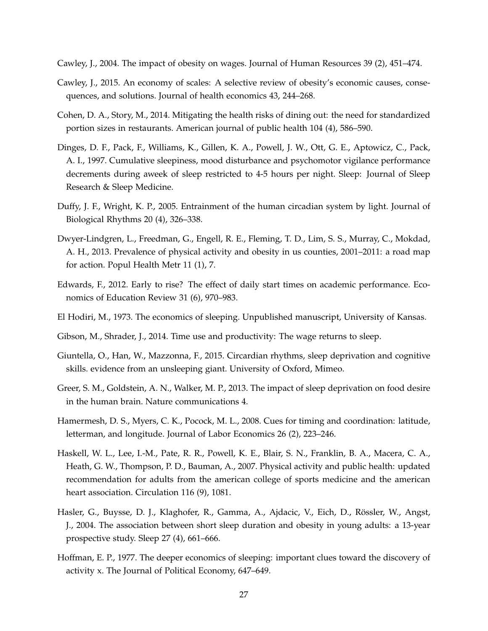- <span id="page-29-6"></span>Cawley, J., 2004. The impact of obesity on wages. Journal of Human Resources 39 (2), 451–474.
- <span id="page-29-5"></span>Cawley, J., 2015. An economy of scales: A selective review of obesity's economic causes, consequences, and solutions. Journal of health economics 43, 244–268.
- <span id="page-29-12"></span>Cohen, D. A., Story, M., 2014. Mitigating the health risks of dining out: the need for standardized portion sizes in restaurants. American journal of public health 104 (4), 586–590.
- <span id="page-29-4"></span>Dinges, D. F., Pack, F., Williams, K., Gillen, K. A., Powell, J. W., Ott, G. E., Aptowicz, C., Pack, A. I., 1997. Cumulative sleepiness, mood disturbance and psychomotor vigilance performance decrements during aweek of sleep restricted to 4-5 hours per night. Sleep: Journal of Sleep Research & Sleep Medicine.
- <span id="page-29-8"></span>Duffy, J. F., Wright, K. P., 2005. Entrainment of the human circadian system by light. Journal of Biological Rhythms 20 (4), 326–338.
- <span id="page-29-14"></span>Dwyer-Lindgren, L., Freedman, G., Engell, R. E., Fleming, T. D., Lim, S. S., Murray, C., Mokdad, A. H., 2013. Prevalence of physical activity and obesity in us counties, 2001–2011: a road map for action. Popul Health Metr 11 (1), 7.
- <span id="page-29-11"></span>Edwards, F., 2012. Early to rise? The effect of daily start times on academic performance. Economics of Education Review 31 (6), 970–983.
- <span id="page-29-2"></span>El Hodiri, M., 1973. The economics of sleeping. Unpublished manuscript, University of Kansas.
- <span id="page-29-1"></span>Gibson, M., Shrader, J., 2014. Time use and productivity: The wage returns to sleep.
- <span id="page-29-0"></span>Giuntella, O., Han, W., Mazzonna, F., 2015. Circardian rhythms, sleep deprivation and cognitive skills. evidence from an unsleeping giant. University of Oxford, Mimeo.
- <span id="page-29-10"></span>Greer, S. M., Goldstein, A. N., Walker, M. P., 2013. The impact of sleep deprivation on food desire in the human brain. Nature communications 4.
- <span id="page-29-7"></span>Hamermesh, D. S., Myers, C. K., Pocock, M. L., 2008. Cues for timing and coordination: latitude, letterman, and longitude. Journal of Labor Economics 26 (2), 223–246.
- <span id="page-29-13"></span>Haskell, W. L., Lee, I.-M., Pate, R. R., Powell, K. E., Blair, S. N., Franklin, B. A., Macera, C. A., Heath, G. W., Thompson, P. D., Bauman, A., 2007. Physical activity and public health: updated recommendation for adults from the american college of sports medicine and the american heart association. Circulation 116 (9), 1081.
- <span id="page-29-9"></span>Hasler, G., Buysse, D. J., Klaghofer, R., Gamma, A., Ajdacic, V., Eich, D., Rössler, W., Angst, J., 2004. The association between short sleep duration and obesity in young adults: a 13-year prospective study. Sleep 27 (4), 661–666.
- <span id="page-29-3"></span>Hoffman, E. P., 1977. The deeper economics of sleeping: important clues toward the discovery of activity x. The Journal of Political Economy, 647–649.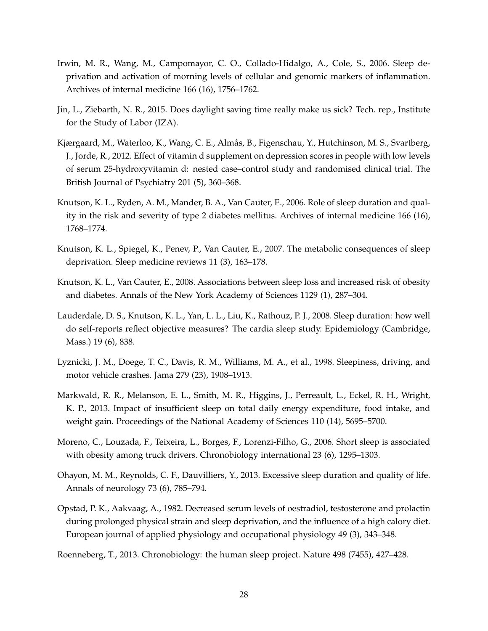- <span id="page-30-7"></span>Irwin, M. R., Wang, M., Campomayor, C. O., Collado-Hidalgo, A., Cole, S., 2006. Sleep deprivation and activation of morning levels of cellular and genomic markers of inflammation. Archives of internal medicine 166 (16), 1756–1762.
- <span id="page-30-8"></span>Jin, L., Ziebarth, N. R., 2015. Does daylight saving time really make us sick? Tech. rep., Institute for the Study of Labor (IZA).
- <span id="page-30-9"></span>Kjærgaard, M., Waterloo, K., Wang, C. E., Almås, B., Figenschau, Y., Hutchinson, M. S., Svartberg, J., Jorde, R., 2012. Effect of vitamin d supplement on depression scores in people with low levels of serum 25-hydroxyvitamin d: nested case–control study and randomised clinical trial. The British Journal of Psychiatry 201 (5), 360–368.
- <span id="page-30-6"></span>Knutson, K. L., Ryden, A. M., Mander, B. A., Van Cauter, E., 2006. Role of sleep duration and quality in the risk and severity of type 2 diabetes mellitus. Archives of internal medicine 166 (16), 1768–1774.
- <span id="page-30-5"></span>Knutson, K. L., Spiegel, K., Penev, P., Van Cauter, E., 2007. The metabolic consequences of sleep deprivation. Sleep medicine reviews 11 (3), 163–178.
- <span id="page-30-3"></span>Knutson, K. L., Van Cauter, E., 2008. Associations between sleep loss and increased risk of obesity and diabetes. Annals of the New York Academy of Sciences 1129 (1), 287–304.
- <span id="page-30-10"></span>Lauderdale, D. S., Knutson, K. L., Yan, L. L., Liu, K., Rathouz, P. J., 2008. Sleep duration: how well do self-reports reflect objective measures? The cardia sleep study. Epidemiology (Cambridge, Mass.) 19 (6), 838.
- <span id="page-30-1"></span>Lyznicki, J. M., Doege, T. C., Davis, R. M., Williams, M. A., et al., 1998. Sleepiness, driving, and motor vehicle crashes. Jama 279 (23), 1908–1913.
- <span id="page-30-0"></span>Markwald, R. R., Melanson, E. L., Smith, M. R., Higgins, J., Perreault, L., Eckel, R. H., Wright, K. P., 2013. Impact of insufficient sleep on total daily energy expenditure, food intake, and weight gain. Proceedings of the National Academy of Sciences 110 (14), 5695–5700.
- <span id="page-30-4"></span>Moreno, C., Louzada, F., Teixeira, L., Borges, F., Lorenzi-Filho, G., 2006. Short sleep is associated with obesity among truck drivers. Chronobiology international 23 (6), 1295–1303.
- <span id="page-30-12"></span>Ohayon, M. M., Reynolds, C. F., Dauvilliers, Y., 2013. Excessive sleep duration and quality of life. Annals of neurology 73 (6), 785–794.
- <span id="page-30-11"></span>Opstad, P. K., Aakvaag, A., 1982. Decreased serum levels of oestradiol, testosterone and prolactin during prolonged physical strain and sleep deprivation, and the influence of a high calory diet. European journal of applied physiology and occupational physiology 49 (3), 343–348.
- <span id="page-30-2"></span>Roenneberg, T., 2013. Chronobiology: the human sleep project. Nature 498 (7455), 427–428.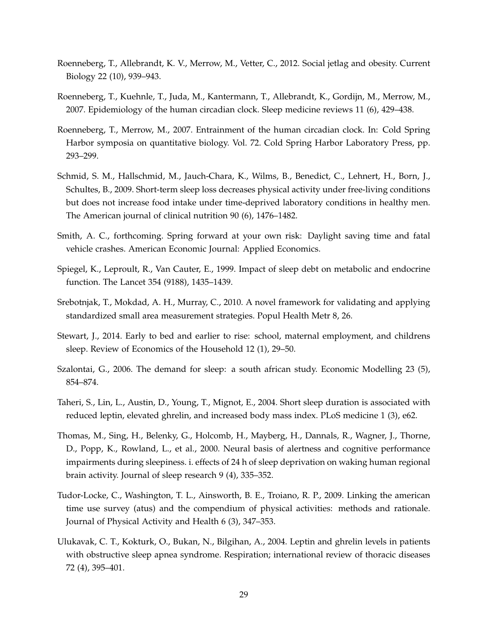- <span id="page-31-9"></span>Roenneberg, T., Allebrandt, K. V., Merrow, M., Vetter, C., 2012. Social jetlag and obesity. Current Biology 22 (10), 939–943.
- <span id="page-31-3"></span>Roenneberg, T., Kuehnle, T., Juda, M., Kantermann, T., Allebrandt, K., Gordijn, M., Merrow, M., 2007. Epidemiology of the human circadian clock. Sleep medicine reviews 11 (6), 429–438.
- <span id="page-31-4"></span>Roenneberg, T., Merrow, M., 2007. Entrainment of the human circadian clock. In: Cold Spring Harbor symposia on quantitative biology. Vol. 72. Cold Spring Harbor Laboratory Press, pp. 293–299.
- <span id="page-31-12"></span>Schmid, S. M., Hallschmid, M., Jauch-Chara, K., Wilms, B., Benedict, C., Lehnert, H., Born, J., Schultes, B., 2009. Short-term sleep loss decreases physical activity under free-living conditions but does not increase food intake under time-deprived laboratory conditions in healthy men. The American journal of clinical nutrition 90 (6), 1476–1482.
- <span id="page-31-7"></span>Smith, A. C., forthcoming. Spring forward at your own risk: Daylight saving time and fatal vehicle crashes. American Economic Journal: Applied Economics.
- <span id="page-31-2"></span>Spiegel, K., Leproult, R., Van Cauter, E., 1999. Impact of sleep debt on metabolic and endocrine function. The Lancet 354 (9188), 1435–1439.
- <span id="page-31-11"></span>Srebotnjak, T., Mokdad, A. H., Murray, C., 2010. A novel framework for validating and applying standardized small area measurement strategies. Popul Health Metr 8, 26.
- <span id="page-31-8"></span>Stewart, J., 2014. Early to bed and earlier to rise: school, maternal employment, and childrens sleep. Review of Economics of the Household 12 (1), 29–50.
- <span id="page-31-0"></span>Szalontai, G., 2006. The demand for sleep: a south african study. Economic Modelling 23 (5), 854–874.
- <span id="page-31-1"></span>Taheri, S., Lin, L., Austin, D., Young, T., Mignot, E., 2004. Short sleep duration is associated with reduced leptin, elevated ghrelin, and increased body mass index. PLoS medicine 1 (3), e62.
- <span id="page-31-6"></span>Thomas, M., Sing, H., Belenky, G., Holcomb, H., Mayberg, H., Dannals, R., Wagner, J., Thorne, D., Popp, K., Rowland, L., et al., 2000. Neural basis of alertness and cognitive performance impairments during sleepiness. i. effects of 24 h of sleep deprivation on waking human regional brain activity. Journal of sleep research 9 (4), 335–352.
- <span id="page-31-10"></span>Tudor-Locke, C., Washington, T. L., Ainsworth, B. E., Troiano, R. P., 2009. Linking the american time use survey (atus) and the compendium of physical activities: methods and rationale. Journal of Physical Activity and Health 6 (3), 347–353.
- <span id="page-31-5"></span>Ulukavak, C. T., Kokturk, O., Bukan, N., Bilgihan, A., 2004. Leptin and ghrelin levels in patients with obstructive sleep apnea syndrome. Respiration; international review of thoracic diseases 72 (4), 395–401.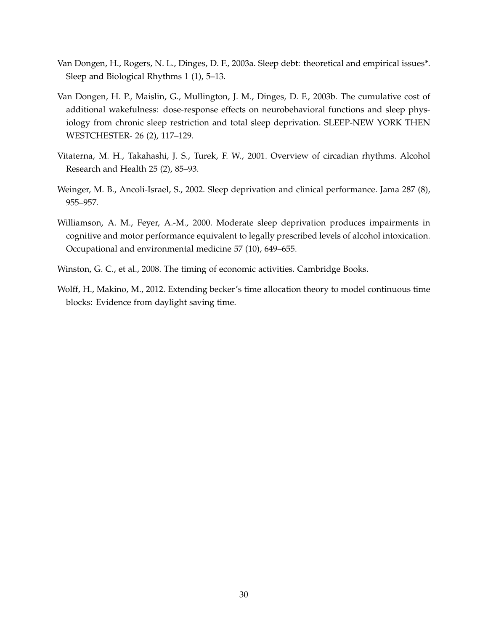- <span id="page-32-6"></span>Van Dongen, H., Rogers, N. L., Dinges, D. F., 2003a. Sleep debt: theoretical and empirical issues\*. Sleep and Biological Rhythms 1 (1), 5–13.
- <span id="page-32-1"></span>Van Dongen, H. P., Maislin, G., Mullington, J. M., Dinges, D. F., 2003b. The cumulative cost of additional wakefulness: dose-response effects on neurobehavioral functions and sleep physiology from chronic sleep restriction and total sleep deprivation. SLEEP-NEW YORK THEN WESTCHESTER- 26 (2), 117–129.
- <span id="page-32-2"></span>Vitaterna, M. H., Takahashi, J. S., Turek, F. W., 2001. Overview of circadian rhythms. Alcohol Research and Health 25 (2), 85–93.
- <span id="page-32-0"></span>Weinger, M. B., Ancoli-Israel, S., 2002. Sleep deprivation and clinical performance. Jama 287 (8), 955–957.
- <span id="page-32-3"></span>Williamson, A. M., Feyer, A.-M., 2000. Moderate sleep deprivation produces impairments in cognitive and motor performance equivalent to legally prescribed levels of alcohol intoxication. Occupational and environmental medicine 57 (10), 649–655.
- <span id="page-32-4"></span>Winston, G. C., et al., 2008. The timing of economic activities. Cambridge Books.
- <span id="page-32-5"></span>Wolff, H., Makino, M., 2012. Extending becker's time allocation theory to model continuous time blocks: Evidence from daylight saving time.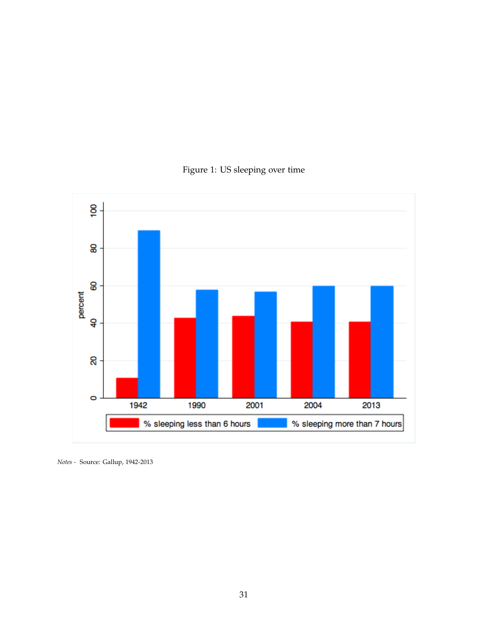

<span id="page-33-0"></span>

*Notes -* Source: Gallup, 1942-2013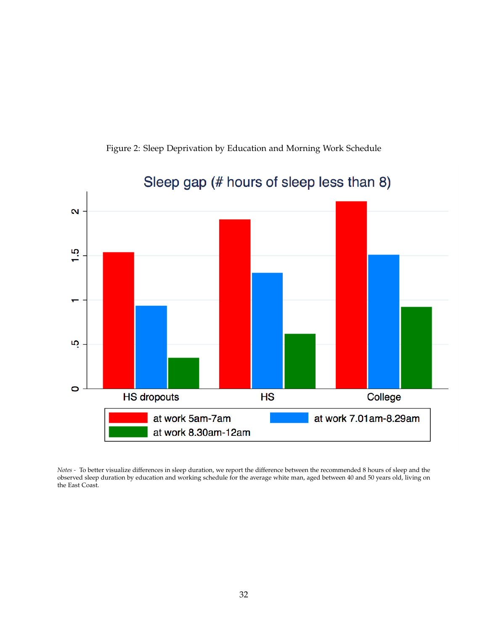<span id="page-34-0"></span>

Figure 2: Sleep Deprivation by Education and Morning Work Schedule

*Notes -* To better visualize differences in sleep duration, we report the difference between the recommended 8 hours of sleep and the observed sleep duration by education and working schedule for the average white man, aged between 40 and 50 years old, living on the East Coast.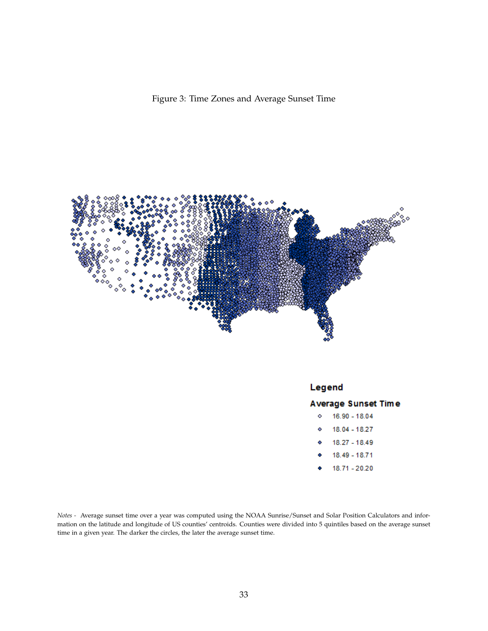Figure 3: Time Zones and Average Sunset Time

<span id="page-35-0"></span>

*Notes -* Average sunset time over a year was computed using the NOAA Sunrise/Sunset and Solar Position Calculators and information on the latitude and longitude of US counties' centroids. Counties were divided into 5 quintiles based on the average sunset time in a given year. The darker the circles, the later the average sunset time.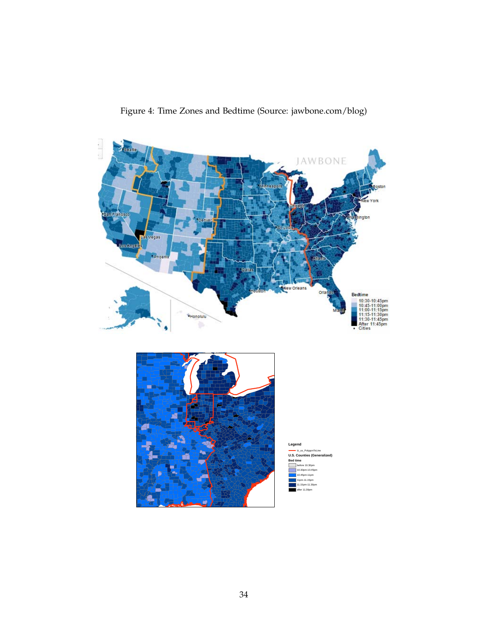<span id="page-36-0"></span>

Figure 4: Time Zones and Bedtime (Source: jawbone.com/blog)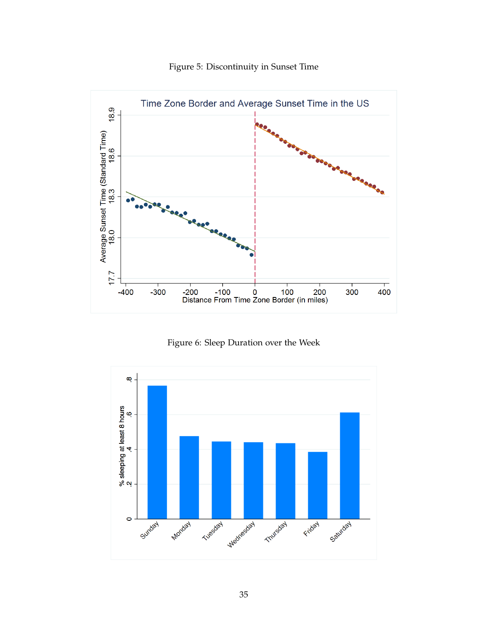<span id="page-37-0"></span>

Figure 5: Discontinuity in Sunset Time

Figure 6: Sleep Duration over the Week

<span id="page-37-1"></span>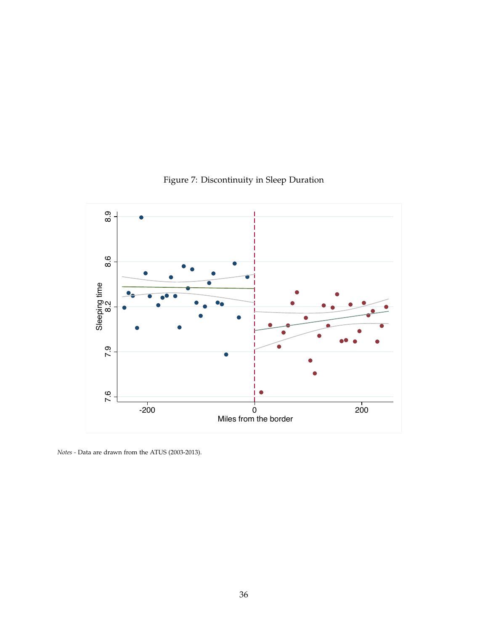<span id="page-38-0"></span>

# Figure 7: Discontinuity in Sleep Duration

*Notes -* Data are drawn from the ATUS (2003-2013).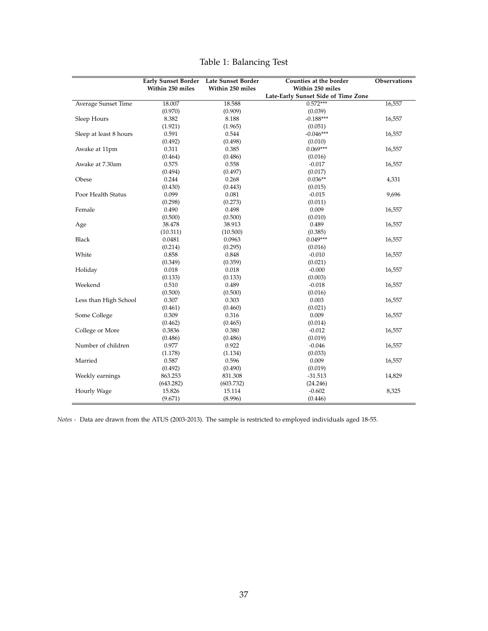<span id="page-39-0"></span>

|                            | <b>Early Sunset Border</b> | Late Sunset Border | Counties at the border              | Observations |
|----------------------------|----------------------------|--------------------|-------------------------------------|--------------|
|                            | Within 250 miles           | Within 250 miles   | Within 250 miles                    |              |
|                            |                            |                    | Late-Early Sunset Side of Time Zone |              |
| <b>Average Sunset Time</b> | 18.007                     | 18.588             | $0.572***$                          | 16,557       |
|                            | (0.970)                    | (0.909)            | (0.039)                             |              |
| Sleep Hours                | 8.382                      | 8.188              | $-0.188***$                         | 16,557       |
|                            | (1.921)                    | (1.965)            | (0.051)                             |              |
| Sleep at least 8 hours     | 0.591                      | 0.544              | $-0.046***$                         | 16,557       |
|                            | (0.492)                    | (0.498)            | (0.010)                             |              |
| Awake at 11pm              | 0.311                      | 0.385              | $0.069***$                          | 16,557       |
|                            | (0.464)                    | (0.486)            | (0.016)                             |              |
| Awake at 7.30am            | 0.575                      | 0.558              | $-0.017$                            | 16,557       |
|                            | (0.494)                    | (0.497)            | (0.017)                             |              |
| Obese                      | 0.244                      | 0.268              | $0.036**$                           | 4,331        |
|                            | (0.430)                    | (0.443)            | (0.015)                             |              |
| Poor Health Status         | 0.099                      | 0.081              | $-0.015$                            | 9,696        |
|                            | (0.298)                    | (0.273)            | (0.011)                             |              |
| Female                     | 0.490                      | 0.498              | 0.009                               | 16,557       |
|                            | (0.500)                    | (0.500)            | (0.010)                             |              |
| Age                        | 38.478                     | 38.913             | 0.489                               | 16,557       |
|                            | (10.311)                   | (10.500)           | (0.385)                             |              |
| Black                      | 0.0481                     | 0.0963             | $0.049***$                          | 16,557       |
|                            | (0.214)                    | (0.295)            | (0.016)                             |              |
| White                      | 0.858                      | 0.848              | $-0.010$                            | 16,557       |
|                            | (0.349)                    | (0.359)            | (0.021)                             |              |
| Holiday                    | 0.018                      | 0.018              | $-0.000$                            | 16,557       |
|                            | (0.133)                    | (0.133)            | (0.003)                             |              |
| Weekend                    | 0.510                      | 0.489              | $-0.018$                            | 16,557       |
|                            | (0.500)                    | (0.500)            | (0.016)                             |              |
| Less than High School      | 0.307                      | 0.303              | 0.003                               | 16,557       |
|                            | (0.461)                    | (0.460)            | (0.021)                             |              |
| Some College               | 0.309                      | 0.316              | 0.009                               | 16,557       |
|                            | (0.462)                    | (0.465)            | (0.014)                             |              |
| College or More            | 0.3836                     | 0.380              | $-0.012$                            | 16,557       |
|                            | (0.486)                    | (0.486)            | (0.019)                             |              |
| Number of children         | 0.977                      | 0.922              | $-0.046$                            | 16,557       |
|                            | (1.178)                    | (1.134)            | (0.033)                             |              |
| Married                    | 0.587                      | 0.596              | 0.009                               | 16,557       |
|                            | (0.492)                    | (0.490)            | (0.019)                             |              |
| Weekly earnings            | 863.253                    | 831.308            | $-31.513$                           | 14,829       |
|                            | (643.282)                  | (603.732)          | (24.246)                            |              |
| Hourly Wage                | 15.826                     | 15.114             | $-0.602$                            | 8,325        |
|                            | (9.671)                    | (8.996)            | (0.446)                             |              |

# Table 1: Balancing Test

*Notes -* Data are drawn from the ATUS (2003-2013). The sample is restricted to employed individuals aged 18-55.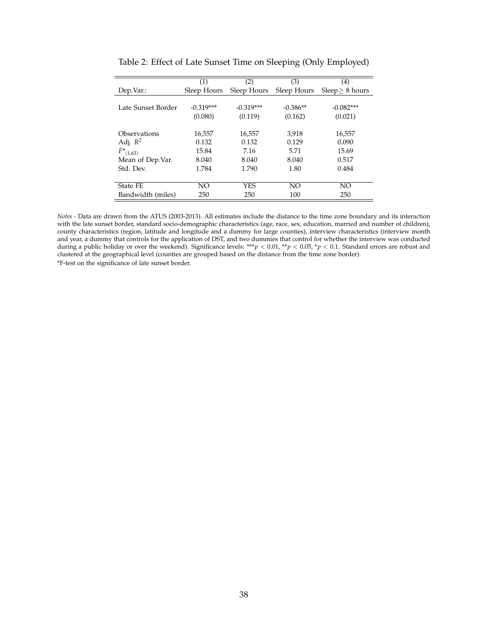<span id="page-40-0"></span>

|                    | (1)         | (2)         | (3)         | (4)             |
|--------------------|-------------|-------------|-------------|-----------------|
| Dep.Var.:          | Sleep Hours | Sleep Hours | Sleep Hours | Sleep > 8 hours |
|                    |             |             |             |                 |
| Late Sunset Border | $-0.319***$ | $-0.319***$ | $-0.386**$  | $-0.082***$     |
|                    | (0.080)     | (0.119)     | (0.162)     | (0.021)         |
|                    |             |             |             |                 |
| Observations       | 16,557      | 16,557      | 3,918       | 16,557          |
| Adj. $R^2$         | 0.132       | 0.132       | 0.129       | 0.090           |
| $F^*_{(1,63)}$     | 15.84       | 7.16        | 5.71        | 15.69           |
| Mean of Dep. Var.  | 8.040       | 8.040       | 8.040       | 0.517           |
| Std. Dev.          | 1.784       | 1.790       | 1.80        | 0.484           |
|                    |             |             |             |                 |
| <b>State FE</b>    | NO.         | YES         | NO          | NO.             |
| Bandwidth (miles)  | 250         | 250         | 100         | 250             |
|                    |             |             |             |                 |

Table 2: Effect of Late Sunset Time on Sleeping (Only Employed)

*Notes -* Data are drawn from the ATUS (2003-2013). All estimates include the distance to the time zone boundary and its interaction with the late sunset border, standard socio-demographic characteristics (age, race, sex, education, married and number of children), county characteristics (region, latitude and longitude and a dummy for large counties), interview characteristics (interview month and year, a dummy that controls for the application of DST, and two dummies that control for whether the interview was conducted during a public holiday or over the weekend). Significance levels: \*\*\**p* < 0.01, \*\**p* < 0.05, \**p* < 0.1. Standard errors are robust and clustered at the geographical level (counties are grouped based on the distance from the time zone border). \*F-test on the significance of late sunset border.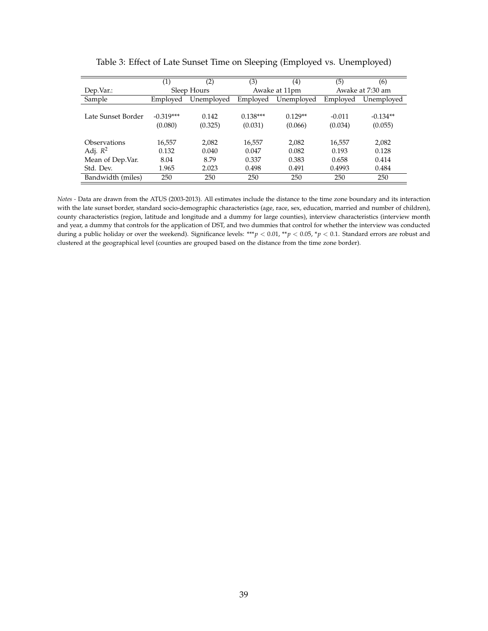<span id="page-41-0"></span>

|                    | (1)         | (2)         | (3)        | (4)           | (5)      | (6)              |
|--------------------|-------------|-------------|------------|---------------|----------|------------------|
| Dep.Var.:          |             | Sleep Hours |            | Awake at 11pm |          | Awake at 7:30 am |
| Sample             | Employed    | Unemployed  | Employed   | Unemployed    | Employed | Unemployed       |
|                    |             |             |            |               |          |                  |
| Late Sunset Border | $-0.319***$ | 0.142       | $0.138***$ | $0.129**$     | $-0.011$ | $-0.134**$       |
|                    | (0.080)     | (0.325)     | (0.031)    | (0.066)       | (0.034)  | (0.055)          |
|                    |             |             |            |               |          |                  |
| Observations       | 16,557      | 2,082       | 16,557     | 2,082         | 16,557   | 2,082            |
| Adj. $R^2$         | 0.132       | 0.040       | 0.047      | 0.082         | 0.193    | 0.128            |
| Mean of Dep.Var.   | 8.04        | 8.79        | 0.337      | 0.383         | 0.658    | 0.414            |
| Std. Dev.          | 1.965       | 2.023       | 0.498      | 0.491         | 0.4993   | 0.484            |
| Bandwidth (miles)  | 250         | 250         | 250        | 250           | 250      | 250              |

Table 3: Effect of Late Sunset Time on Sleeping (Employed vs. Unemployed)

*Notes -* Data are drawn from the ATUS (2003-2013). All estimates include the distance to the time zone boundary and its interaction with the late sunset border, standard socio-demographic characteristics (age, race, sex, education, married and number of children), county characteristics (region, latitude and longitude and a dummy for large counties), interview characteristics (interview month and year, a dummy that controls for the application of DST, and two dummies that control for whether the interview was conducted during a public holiday or over the weekend). Significance levels: \*\*\**p* < 0.01, \*\**p* < 0.05, \**p* < 0.1. Standard errors are robust and clustered at the geographical level (counties are grouped based on the distance from the time zone border).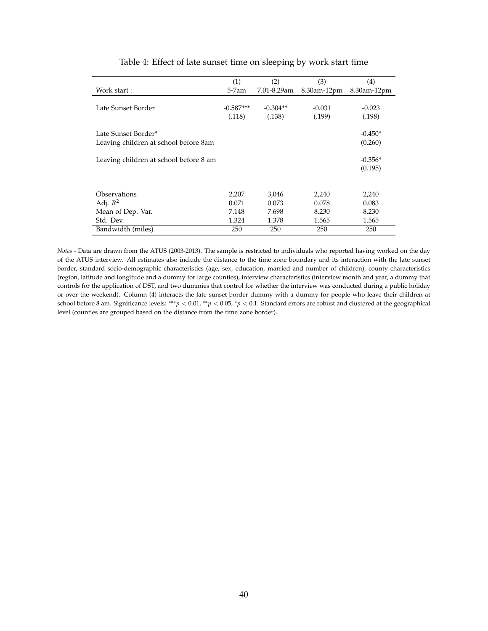<span id="page-42-0"></span>

|                                        | (1)         | (2)         | (3)         | (4)         |
|----------------------------------------|-------------|-------------|-------------|-------------|
| Work start:                            | 5-7am       | 7.01-8.29am | 8.30am-12pm | 8.30am-12pm |
|                                        |             |             |             |             |
| Late Sunset Border                     | $-0.587***$ | $-0.304**$  | $-0.031$    | $-0.023$    |
|                                        | (.118)      | (.138)      | (.199)      | (.198)      |
|                                        |             |             |             |             |
| Late Sunset Border*                    |             |             |             | $-0.450*$   |
| Leaving children at school before 8am  |             |             |             | (0.260)     |
|                                        |             |             |             |             |
| Leaving children at school before 8 am |             |             |             | $-0.356*$   |
|                                        |             |             |             | (0.195)     |
|                                        |             |             |             |             |
|                                        |             |             |             |             |
| Observations                           | 2,207       | 3,046       | 2,240       | 2,240       |
| Adj. $R^2$                             | 0.071       | 0.073       | 0.078       | 0.083       |
| Mean of Dep. Var.                      | 7.148       | 7.698       | 8.230       | 8.230       |
| Std. Dev.                              | 1.324       | 1.378       | 1.565       | 1.565       |
| Bandwidth (miles)                      | 250         | 250         | 250         | 250         |

### Table 4: Effect of late sunset time on sleeping by work start time

*Notes -* Data are drawn from the ATUS (2003-2013). The sample is restricted to individuals who reported having worked on the day of the ATUS interview. All estimates also include the distance to the time zone boundary and its interaction with the late sunset border, standard socio-demographic characteristics (age, sex, education, married and number of children), county characteristics (region, latitude and longitude and a dummy for large counties), interview characteristics (interview month and year, a dummy that controls for the application of DST, and two dummies that control for whether the interview was conducted during a public holiday or over the weekend). Column (4) interacts the late sunset border dummy with a dummy for people who leave their children at school before 8 am. Significance levels: \*\*\**p* < 0.01, \*\**p* < 0.05, \**p* < 0.1. Standard errors are robust and clustered at the geographical level (counties are grouped based on the distance from the time zone border).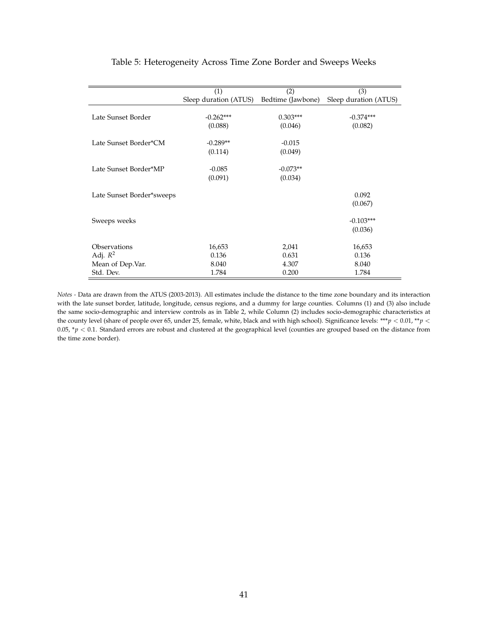<span id="page-43-0"></span>

|                           | (1)                   | (2)               | (3)                   |
|---------------------------|-----------------------|-------------------|-----------------------|
|                           | Sleep duration (ATUS) | Bedtime (Jawbone) | Sleep duration (ATUS) |
|                           |                       |                   |                       |
| Late Sunset Border        | $-0.262***$           | $0.303***$        | $-0.374***$           |
|                           | (0.088)               | (0.046)           | (0.082)               |
|                           |                       |                   |                       |
| Late Sunset Border*CM     | $-0.289**$            | $-0.015$          |                       |
|                           | (0.114)               | (0.049)           |                       |
| Late Sunset Border*MP     |                       |                   |                       |
|                           | $-0.085$              | $-0.073**$        |                       |
|                           | (0.091)               | (0.034)           |                       |
| Late Sunset Border*sweeps |                       |                   | 0.092                 |
|                           |                       |                   | (0.067)               |
|                           |                       |                   |                       |
| Sweeps weeks              |                       |                   | $-0.103***$           |
|                           |                       |                   | (0.036)               |
| Observations              | 16,653                | 2,041             | 16,653                |
| Adj. $R^2$                | 0.136                 | 0.631             | 0.136                 |
| Mean of Dep.Var.          | 8.040                 | 4.307             | 8.040                 |
| Std. Dev.                 | 1.784                 | 0.200             | 1.784                 |

#### Table 5: Heterogeneity Across Time Zone Border and Sweeps Weeks

*Notes -* Data are drawn from the ATUS (2003-2013). All estimates include the distance to the time zone boundary and its interaction with the late sunset border, latitude, longitude, census regions, and a dummy for large counties. Columns (1) and (3) also include the same socio-demographic and interview controls as in Table 2, while Column (2) includes socio-demographic characteristics at the county level (share of people over 65, under 25, female, white, black and with high school). Significance levels: \*\*\**p* < 0.01, \*\**p* <  $0.05$ ,  $*_p$  < 0.1. Standard errors are robust and clustered at the geographical level (counties are grouped based on the distance from the time zone border).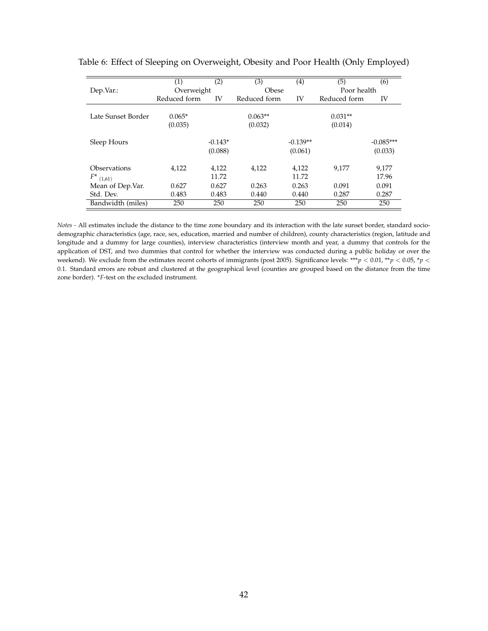|                    | $\left( 1\right)$ | (2)       | (3)          | (4)        | (5)          | (6)         |
|--------------------|-------------------|-----------|--------------|------------|--------------|-------------|
| Dep.Var.:          | Overweight        |           | Obese        |            | Poor health  |             |
|                    | Reduced form      | IV        | Reduced form | IV         | Reduced form | IV          |
|                    |                   |           |              |            |              |             |
| Late Sunset Border | $0.065*$          |           | $0.063**$    |            | $0.031**$    |             |
|                    | (0.035)           |           | (0.032)      |            | (0.014)      |             |
|                    |                   |           |              |            |              |             |
| Sleep Hours        |                   | $-0.143*$ |              | $-0.139**$ |              | $-0.085***$ |
|                    |                   | (0.088)   |              | (0.061)    |              | (0.033)     |
| Observations       | 4,122             | 4,122     | 4,122        | 4,122      | 9,177        | 9,177       |
| $F^*$ (1,61)       |                   | 11.72     |              | 11.72      |              | 17.96       |
| Mean of Dep.Var.   | 0.627             | 0.627     | 0.263        | 0.263      | 0.091        | 0.091       |
| Std. Dev.          | 0.483             | 0.483     | 0.440        | 0.440      | 0.287        | 0.287       |
| Bandwidth (miles)  | 250               | 250       | 250          | 250        | 250          | 250         |

<span id="page-44-0"></span>Table 6: Effect of Sleeping on Overweight, Obesity and Poor Health (Only Employed)

*Notes -* All estimates include the distance to the time zone boundary and its interaction with the late sunset border, standard sociodemographic characteristics (age, race, sex, education, married and number of children), county characteristics (region, latitude and longitude and a dummy for large counties), interview characteristics (interview month and year, a dummy that controls for the application of DST, and two dummies that control for whether the interview was conducted during a public holiday or over the weekend). We exclude from the estimates recent cohorts of immigrants (post 2005). Significance levels: \*\*\**p* < 0.01, \*\**p* < 0.05, \**p* < 0.1. Standard errors are robust and clustered at the geographical level (counties are grouped based on the distance from the time zone border). \**F*-test on the excluded instrument.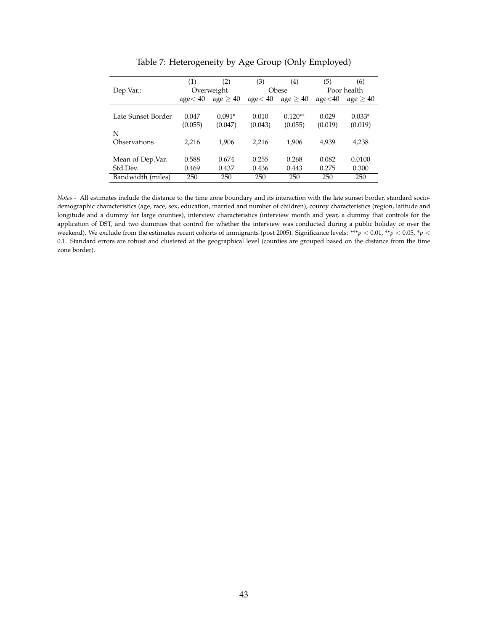<span id="page-45-0"></span>

|                    | (1)       | (2)           | (3)       | (4)           | (5)     | (6)           |  |
|--------------------|-----------|---------------|-----------|---------------|---------|---------------|--|
| Dep.Var.:          |           | Overweight    |           | Obese         |         | Poor health   |  |
|                    | $age<$ 40 | $age \geq 40$ | $age<$ 40 | age $\geq 40$ | age<40  | $age \geq 40$ |  |
|                    |           |               |           |               |         |               |  |
| Late Sunset Border | 0.047     | $0.091*$      | 0.010     | $0.120**$     | 0.029   | $0.033*$      |  |
|                    | (0.055)   | (0.047)       | (0.043)   | (0.055)       | (0.019) | (0.019)       |  |
| N                  |           |               |           |               |         |               |  |
| Observations       | 2,216     | 1,906         | 2,216     | 1.906         | 4,939   | 4,238         |  |
|                    |           |               |           |               |         |               |  |
| Mean of Dep.Var.   | 0.588     | 0.674         | 0.255     | 0.268         | 0.082   | 0.0100        |  |
| Std.Dev.           | 0.469     | 0.437         | 0.436     | 0.443         | 0.275   | 0.300         |  |
| Bandwidth (miles)  | 250       | 250           | 250       | 250           | 250     | 250           |  |

Table 7: Heterogeneity by Age Group (Only Employed)

*Notes -* All estimates include the distance to the time zone boundary and its interaction with the late sunset border, standard sociodemographic characteristics (age, race, sex, education, married and number of children), county characteristics (region, latitude and longitude and a dummy for large counties), interview characteristics (interview month and year, a dummy that controls for the application of DST, and two dummies that control for whether the interview was conducted during a public holiday or over the weekend). We exclude from the estimates recent cohorts of immigrants (post 2005). Significance levels: \*\*\**p* < 0.01, \*\**p* < 0.05, \**p* < 0.1. Standard errors are robust and clustered at the geographical level (counties are grouped based on the distance from the time zone border).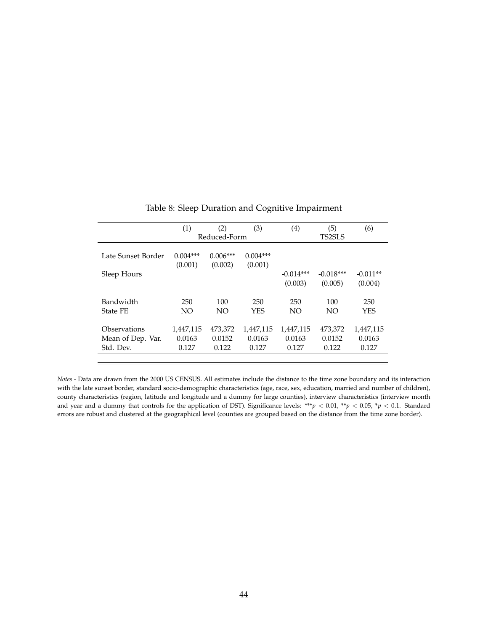<span id="page-46-0"></span>

|                    | (1)        | (2)          | (3)        | $\left( 4\right)$ | (5)           | (6)        |
|--------------------|------------|--------------|------------|-------------------|---------------|------------|
|                    |            | Reduced-Form |            |                   | <b>TS2SLS</b> |            |
|                    |            |              |            |                   |               |            |
| Late Sunset Border | $0.004***$ | $0.006***$   | $0.004***$ |                   |               |            |
|                    | (0.001)    | (0.002)      | (0.001)    |                   |               |            |
| Sleep Hours        |            |              |            | $-0.014***$       | $-0.018***$   | $-0.011**$ |
|                    |            |              |            | (0.003)           | (0.005)       | (0.004)    |
|                    |            |              |            |                   |               |            |
| Bandwidth          | 250        | 100          | 250        | 250               | 100           | 250        |
| <b>State FE</b>    | NO         | NO.          | <b>YES</b> | NO.               | NO.           | <b>YES</b> |
|                    |            |              |            |                   |               |            |
| Observations       | 1,447,115  | 473,372      | 1,447,115  | 1,447,115         | 473,372       | 1,447,115  |
| Mean of Dep. Var.  | 0.0163     | 0.0152       | 0.0163     | 0.0163            | 0.0152        | 0.0163     |
| Std. Dev.          | 0.127      | 0.122        | 0.127      | 0.127             | 0.122         | 0.127      |
|                    |            |              |            |                   |               |            |

Table 8: Sleep Duration and Cognitive Impairment

*Notes -* Data are drawn from the 2000 US CENSUS. All estimates include the distance to the time zone boundary and its interaction with the late sunset border, standard socio-demographic characteristics (age, race, sex, education, married and number of children), county characteristics (region, latitude and longitude and a dummy for large counties), interview characteristics (interview month and year and a dummy that controls for the application of DST). Significance levels: \*\*\**p* < 0.01, \*\**p* < 0.05, \**p* < 0.1. Standard errors are robust and clustered at the geographical level (counties are grouped based on the distance from the time zone border).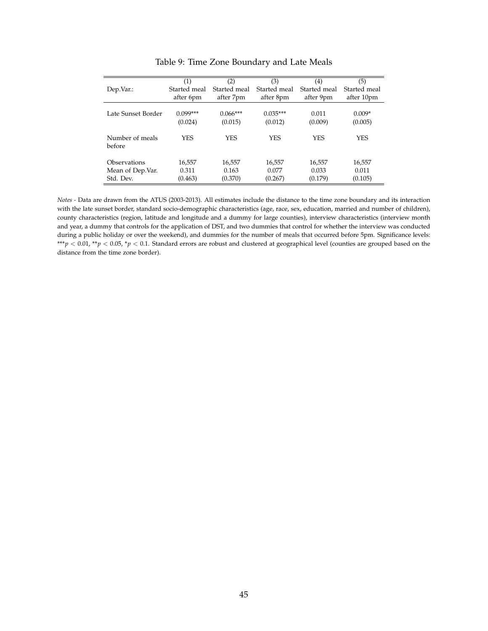<span id="page-47-0"></span>

|                    | (1)          | (2)          | (3)          | (4)          | (5)          |
|--------------------|--------------|--------------|--------------|--------------|--------------|
| Dep.Var.:          | Started meal | Started meal | Started meal | Started meal | Started meal |
|                    | after 6pm    | after 7pm    | after 8pm    | after 9pm    | after 10pm   |
|                    |              |              |              |              |              |
| Late Sunset Border | $0.099***$   | $0.066***$   | $0.035***$   | 0.011        | $0.009*$     |
|                    | (0.024)      | (0.015)      | (0.012)      | (0.009)      | (0.005)      |
|                    |              |              |              |              |              |
| Number of meals    | <b>YES</b>   | <b>YES</b>   | <b>YES</b>   | <b>YES</b>   | <b>YES</b>   |
| before             |              |              |              |              |              |
|                    |              |              |              |              |              |
| Observations       | 16,557       | 16,557       | 16,557       | 16,557       | 16,557       |
| Mean of Dep.Var.   | 0.311        | 0.163        | 0.077        | 0.033        | 0.011        |
| Std. Dev.          | (0.463)      | (0.370)      | (0.267)      | (0.179)      | (0.105)      |

Table 9: Time Zone Boundary and Late Meals

*Notes -* Data are drawn from the ATUS (2003-2013). All estimates include the distance to the time zone boundary and its interaction with the late sunset border, standard socio-demographic characteristics (age, race, sex, education, married and number of children), county characteristics (region, latitude and longitude and a dummy for large counties), interview characteristics (interview month and year, a dummy that controls for the application of DST, and two dummies that control for whether the interview was conducted during a public holiday or over the weekend), and dummies for the number of meals that occurred before 5pm. Significance levels: \*\*\**p* < 0.01, \*\**p* < 0.05, \**p* < 0.1. Standard errors are robust and clustered at geographical level (counties are grouped based on the distance from the time zone border).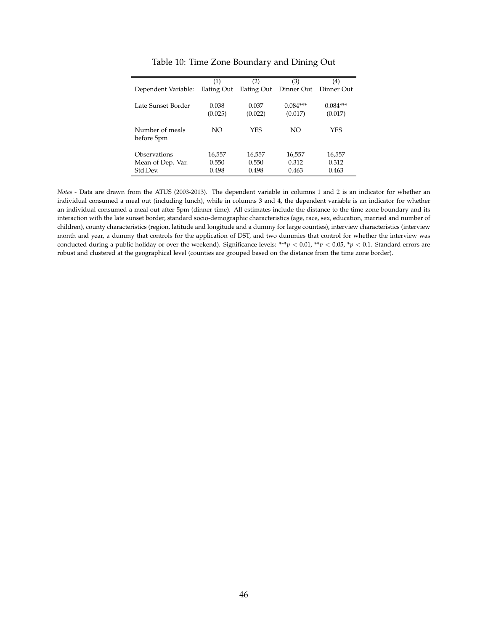<span id="page-48-0"></span>

|                               | (1)              | (2)              | (3)                   | (4)                   |
|-------------------------------|------------------|------------------|-----------------------|-----------------------|
| Dependent Variable:           | Eating Out       | Eating Out       | Dinner Out            | Dinner Out            |
| Late Sunset Border            | 0.038<br>(0.025) | 0.037<br>(0.022) | $0.084***$<br>(0.017) | $0.084***$<br>(0.017) |
| Number of meals<br>before 5pm | NO               | YES              | NO                    | <b>YES</b>            |
| Observations                  | 16,557           | 16,557           | 16,557                | 16,557                |
| Mean of Dep. Var.             | 0.550            | 0.550            | 0.312                 | 0.312                 |
| Std.Dev.                      | 0.498            | 0.498            | 0.463                 | 0.463                 |

Table 10: Time Zone Boundary and Dining Out

*Notes -* Data are drawn from the ATUS (2003-2013). The dependent variable in columns 1 and 2 is an indicator for whether an individual consumed a meal out (including lunch), while in columns 3 and 4, the dependent variable is an indicator for whether an individual consumed a meal out after 5pm (dinner time). All estimates include the distance to the time zone boundary and its interaction with the late sunset border, standard socio-demographic characteristics (age, race, sex, education, married and number of children), county characteristics (region, latitude and longitude and a dummy for large counties), interview characteristics (interview month and year, a dummy that controls for the application of DST, and two dummies that control for whether the interview was conducted during a public holiday or over the weekend). Significance levels: \*\*\**p* < 0.01, \*\**p* < 0.05, \**p* < 0.1. Standard errors are robust and clustered at the geographical level (counties are grouped based on the distance from the time zone border).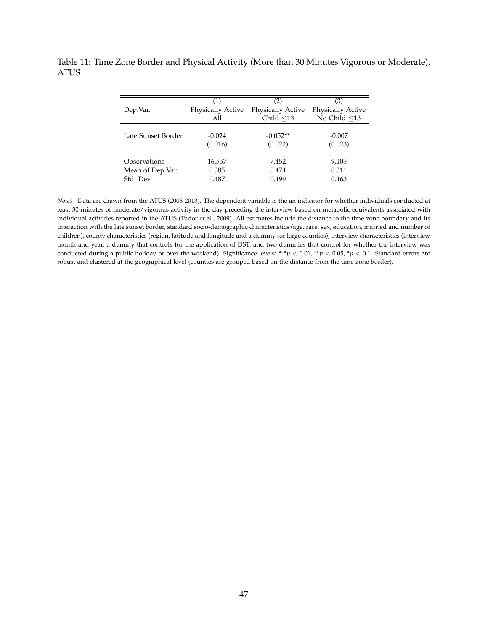<span id="page-49-0"></span>Table 11: Time Zone Border and Physical Activity (More than 30 Minutes Vigorous or Moderate), ATUS

|                    | (1)               | (2)                      | (3)                |
|--------------------|-------------------|--------------------------|--------------------|
| Dep.Var.           | Physically Active | <b>Physically Active</b> | Physically Active  |
|                    | All               | Child $\leq$ 13          | No Child $\leq$ 13 |
|                    |                   |                          |                    |
| Late Sunset Border | $-0.024$          | $-0.052**$               | $-0.007$           |
|                    | (0.016)           | (0.022)                  | (0.023)            |
|                    |                   |                          |                    |
| Observations       | 16,557            | 7.452                    | 9,105              |
| Mean of Dep.Var.   | 0.385             | 0.474                    | 0.311              |
| Std. Dev.          | 0.487             | 0.499                    | 0.463              |

*Notes -* Data are drawn from the ATUS (2003-2013). The dependent variable is the an indicator for whether individuals conducted at least 30 minutes of moderate/vigorous activity in the day preceding the interview based on metabolic equivalents associated with individual activities reported in the ATUS (Tudor et al., 2009). All estimates include the distance to the time zone boundary and its interaction with the late sunset border, standard socio-demographic characteristics (age, race, sex, education, married and number of children), county characteristics (region, latitude and longitude and a dummy for large counties), interview characteristics (interview month and year, a dummy that controls for the application of DST, and two dummies that control for whether the interview was conducted during a public holiday or over the weekend). Significance levels: \*\*\**p* < 0.01, \*\**p* < 0.05, \**p* < 0.1. Standard errors are robust and clustered at the geographical level (counties are grouped based on the distance from the time zone border).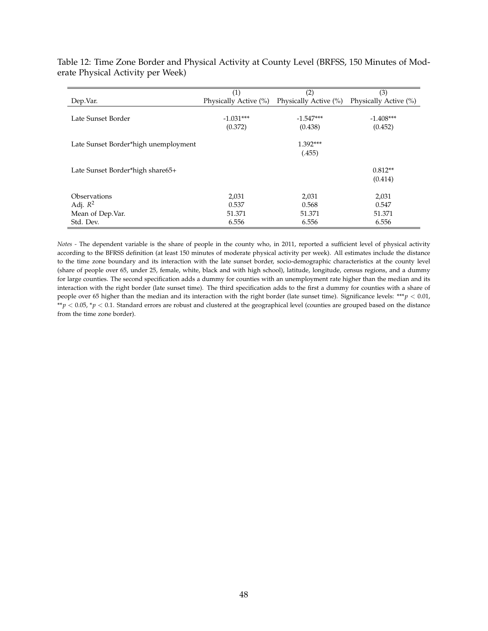|                                      | (1)                   | (2)                   | (3)                   |
|--------------------------------------|-----------------------|-----------------------|-----------------------|
| Dep.Var.                             | Physically Active (%) | Physically Active (%) | Physically Active (%) |
|                                      |                       |                       |                       |
| Late Sunset Border                   | $-1.031***$           | $-1.547***$           | $-1.408***$           |
|                                      | (0.372)               | (0.438)               | (0.452)               |
|                                      |                       |                       |                       |
| Late Sunset Border*high unemployment |                       | 1.392***              |                       |
|                                      |                       | (.455)                |                       |
|                                      |                       |                       |                       |
| Late Sunset Border*high share65+     |                       |                       | $0.812**$             |
|                                      |                       |                       | (0.414)               |
|                                      |                       |                       |                       |
| Observations                         | 2,031                 | 2,031                 | 2,031                 |
| Adj. $R^2$                           | 0.537                 | 0.568                 | 0.547                 |
| Mean of Dep.Var.                     | 51.371                | 51.371                | 51.371                |
| Std. Dev.                            | 6.556                 | 6.556                 | 6.556                 |

<span id="page-50-0"></span>Table 12: Time Zone Border and Physical Activity at County Level (BRFSS, 150 Minutes of Moderate Physical Activity per Week)

*Notes -* The dependent variable is the share of people in the county who, in 2011, reported a sufficient level of physical activity according to the BFRSS definition (at least 150 minutes of moderate physical activity per week). All estimates include the distance to the time zone boundary and its interaction with the late sunset border, socio-demographic characteristics at the county level (share of people over 65, under 25, female, white, black and with high school), latitude, longitude, census regions, and a dummy for large counties. The second specification adds a dummy for counties with an unemployment rate higher than the median and its interaction with the right border (late sunset time). The third specification adds to the first a dummy for counties with a share of people over 65 higher than the median and its interaction with the right border (late sunset time). Significance levels: \*\*\**p* < 0.01,  $**p < 0.05$ ,  $*_p < 0.1$ . Standard errors are robust and clustered at the geographical level (counties are grouped based on the distance from the time zone border).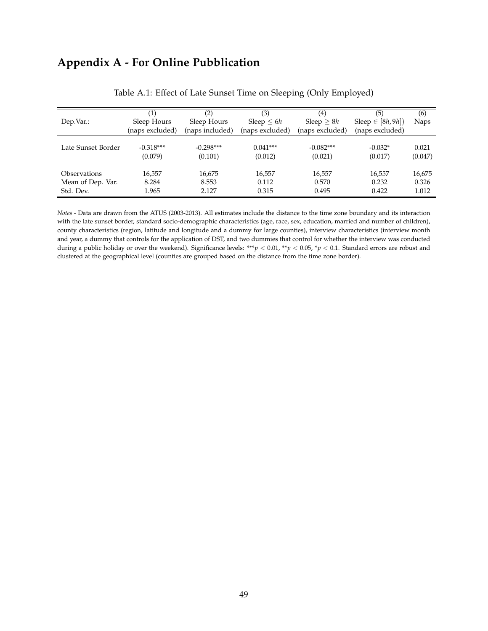# **Appendix A - For Online Pubblication**

<span id="page-51-0"></span>

|                     | (1)             | (2)             | (3)             | (4)             | (5)                   | (6)     |
|---------------------|-----------------|-----------------|-----------------|-----------------|-----------------------|---------|
| Dep.Var.:           | Sleep Hours     | Sleep Hours     | Sleep $\leq 6h$ | $Sleep \geq 8h$ | $Sleep \in [8h, 9h])$ | Naps    |
|                     | (naps excluded) | (naps included) | (naps excluded) | (naps excluded) | (naps excluded)       |         |
|                     |                 |                 |                 |                 |                       |         |
| Late Sunset Border  | $-0.318***$     | $-0.298***$     | $0.041***$      | $-0.082***$     | $-0.032*$             | 0.021   |
|                     | (0.079)         | (0.101)         | (0.012)         | (0.021)         | (0.017)               | (0.047) |
|                     |                 |                 |                 |                 |                       |         |
| <b>Observations</b> | 16,557          | 16,675          | 16,557          | 16,557          | 16,557                | 16,675  |
| Mean of Dep. Var.   | 8.284           | 8.553           | 0.112           | 0.570           | 0.232                 | 0.326   |
| Std. Dev.           | 1.965           | 2.127           | 0.315           | 0.495           | 0.422                 | 1.012   |

|  | Table A.1: Effect of Late Sunset Time on Sleeping (Only Employed) |
|--|-------------------------------------------------------------------|
|--|-------------------------------------------------------------------|

*Notes -* Data are drawn from the ATUS (2003-2013). All estimates include the distance to the time zone boundary and its interaction with the late sunset border, standard socio-demographic characteristics (age, race, sex, education, married and number of children), county characteristics (region, latitude and longitude and a dummy for large counties), interview characteristics (interview month and year, a dummy that controls for the application of DST, and two dummies that control for whether the interview was conducted during a public holiday or over the weekend). Significance levels: \*\*\* $p<0.01$ , \*\* $p<0.05$ , \* $p<0.1$ . Standard errors are robust and clustered at the geographical level (counties are grouped based on the distance from the time zone border).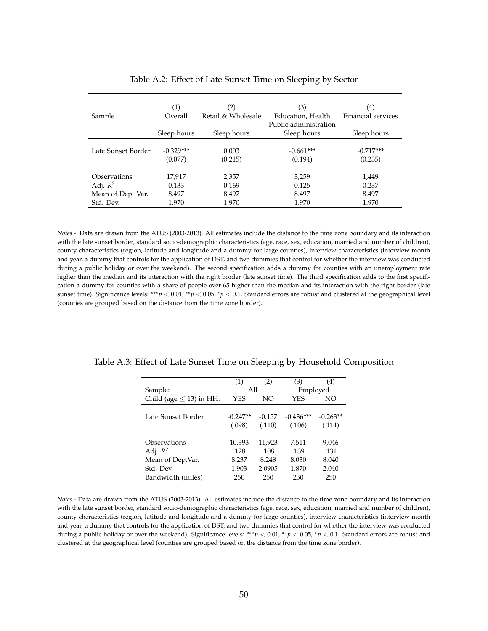<span id="page-52-0"></span>

| Sample             | (1)<br>Overall         | (2)<br>Retail & Wholesale | (3)<br>Education, Health<br>Public administration | $\left( 4\right)$<br>Financial services |
|--------------------|------------------------|---------------------------|---------------------------------------------------|-----------------------------------------|
|                    | Sleep hours            | Sleep hours               | Sleep hours                                       | Sleep hours                             |
| Late Sunset Border | $-0.329***$<br>(0.077) | 0.003<br>(0.215)          | $-0.661***$<br>(0.194)                            | $-0.717***$<br>(0.235)                  |
| Observations       | 17,917                 | 2,357                     | 3,259                                             | 1,449                                   |
| Adj. $R^2$         | 0.133                  | 0.169                     | 0.125                                             | 0.237                                   |
| Mean of Dep. Var.  | 8.497                  | 8.497                     | 8.497                                             | 8.497                                   |
| Std. Dev.          | 1.970                  | 1.970                     | 1.970                                             | 1.970                                   |

| Table A.2: Effect of Late Sunset Time on Sleeping by Sector |  |
|-------------------------------------------------------------|--|
|-------------------------------------------------------------|--|

*Notes -* Data are drawn from the ATUS (2003-2013). All estimates include the distance to the time zone boundary and its interaction with the late sunset border, standard socio-demographic characteristics (age, race, sex, education, married and number of children), county characteristics (region, latitude and longitude and a dummy for large counties), interview characteristics (interview month and year, a dummy that controls for the application of DST, and two dummies that control for whether the interview was conducted during a public holiday or over the weekend). The second specification adds a dummy for counties with an unemployment rate higher than the median and its interaction with the right border (late sunset time). The third specification adds to the first specification a dummy for counties with a share of people over 65 higher than the median and its interaction with the right border (late sunset time). Significance levels: \*\*\**p* < 0.01, \*\**p* < 0.05, \**p* < 0.1. Standard errors are robust and clustered at the geographical level (counties are grouped based on the distance from the time zone border).

| (1)        | (2)      | (3)         | (4)        |
|------------|----------|-------------|------------|
|            |          | Employed    |            |
| YES        | NΟ       | YES         | NO         |
|            |          |             |            |
| $-0.247**$ | $-0.157$ | $-0.436***$ | $-0.263**$ |
| (.098)     | (.110)   | (.106)      | (.114)     |
|            |          |             |            |
| 10,393     | 11,923   | 7,511       | 9,046      |
| .128       | .108     | .139        | .131       |
| 8.237      | 8.248    | 8.030       | 8.040      |
| 1.903      | 2.0905   | 1.870       | 2.040      |
| 250        | 250      | 250         | 250        |
|            |          | A11         |            |

<span id="page-52-1"></span>Table A.3: Effect of Late Sunset Time on Sleeping by Household Composition

*Notes -* Data are drawn from the ATUS (2003-2013). All estimates include the distance to the time zone boundary and its interaction with the late sunset border, standard socio-demographic characteristics (age, race, sex, education, married and number of children), county characteristics (region, latitude and longitude and a dummy for large counties), interview characteristics (interview month and year, a dummy that controls for the application of DST, and two dummies that control for whether the interview was conducted during a public holiday or over the weekend). Significance levels: \*\*\* $p < 0.01$ , \*\* $p < 0.05$ , \* $p < 0.1$ . Standard errors are robust and clustered at the geographical level (counties are grouped based on the distance from the time zone border).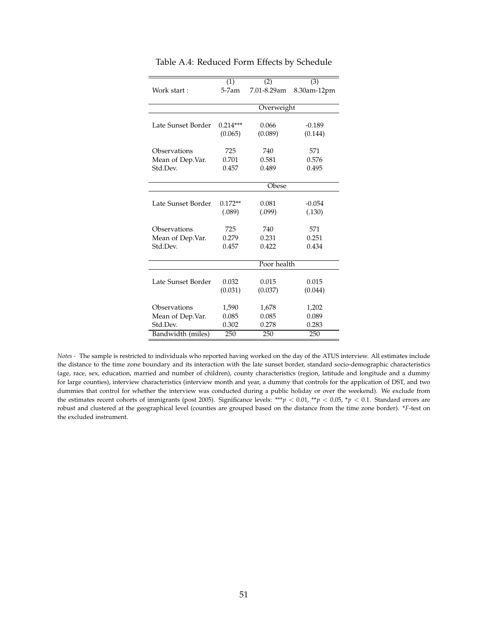|                    | (1)        | (2)         | (3)         |
|--------------------|------------|-------------|-------------|
| Work start:        | 5-7am      | 7.01-8.29am | 8.30am-12pm |
|                    |            |             |             |
|                    |            | Overweight  |             |
|                    |            |             |             |
| Late Sunset Border | $0.214***$ | 0.066       | $-0.189$    |
|                    | (0.065)    | (0.089)     | (0.144)     |
| Observations       | 725        | 740         | 571         |
| Mean of Dep.Var.   | 0.701      | 0.581       | 0.576       |
| Std.Dev.           | 0.457      | 0.489       | 0.495       |
|                    |            |             |             |
|                    |            | Obese       |             |
|                    |            |             |             |
| Late Sunset Border | $0.172**$  | 0.081       | $-0.054$    |
|                    | (.089)     | (.099)      | (.130)      |
| Observations       | 725        | 740         | 571         |
| Mean of Dep.Var.   | 0.279      | 0.231       | 0.251       |
| Std.Dev.           | 0.457      | 0.422       | 0.434       |
|                    |            |             |             |
|                    |            | Poor health |             |
| Late Sunset Border | 0.032      | 0.015       | 0.015       |
|                    |            |             |             |
|                    | (0.031)    | (0.037)     | (0.044)     |
| Observations       | 1,590      | 1,678       | 1,202       |
| Mean of Dep.Var.   | 0.085      | 0.085       | 0.089       |
| Std.Dev.           | 0.302      | 0.278       | 0.283       |
| Bandwidth (miles)  | 250        | 250         | 250         |

Table A.4: Reduced Form Effects by Schedule

*Notes -* The sample is restricted to individuals who reported having worked on the day of the ATUS interview. All estimates include the distance to the time zone boundary and its interaction with the late sunset border, standard socio-demographic characteristics (age, race, sex, education, married and number of children), county characteristics (region, latitude and longitude and a dummy for large counties), interview characteristics (interview month and year, a dummy that controls for the application of DST, and two dummies that control for whether the interview was conducted during a public holiday or over the weekend). We exclude from the estimates recent cohorts of immigrants (post 2005). Significance levels: \*\*\**p* < 0.01, \*\**p* < 0.05, \**p* < 0.1. Standard errors are robust and clustered at the geographical level (counties are grouped based on the distance from the time zone border). \**F*-test on the excluded instrument.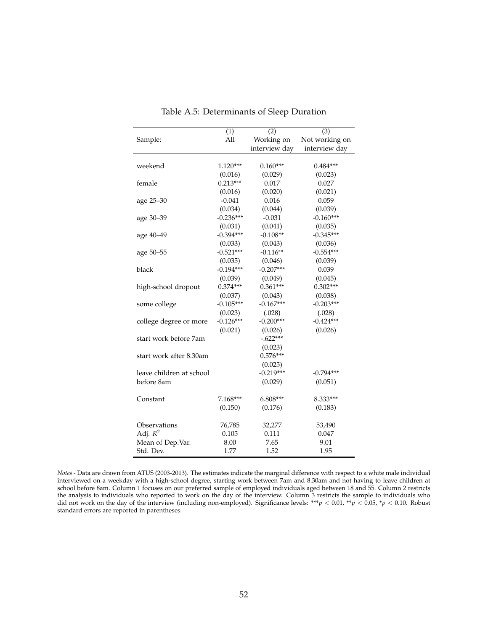<span id="page-54-0"></span>

|                          | $\overline{(1)}$ | $\overline{(2)}$ | (3)            |
|--------------------------|------------------|------------------|----------------|
| Sample:                  | All              | Working on       | Not working on |
|                          |                  | interview day    | interview day  |
|                          |                  |                  |                |
| weekend                  | $1.120***$       | $0.160***$       | $0.484***$     |
|                          | (0.016)          | (0.029)          | (0.023)        |
| female                   | $0.213***$       | 0.017            | 0.027          |
|                          | (0.016)          | (0.020)          | (0.021)        |
| age 25-30                | $-0.041$         | 0.016            | 0.059          |
|                          | (0.034)          | (0.044)          | (0.039)        |
| age 30-39                | $-0.236***$      | $-0.031$         | $-0.160***$    |
|                          | (0.031)          | (0.041)          | (0.035)        |
| age 40-49                | $-0.394***$      | $-0.108**$       | $-0.345***$    |
|                          | (0.033)          | (0.043)          | (0.036)        |
| age 50-55                | $-0.521***$      | $-0.116**$       | $-0.554***$    |
|                          | (0.035)          | (0.046)          | (0.039)        |
| black                    | $-0.194***$      | $-0.207***$      | 0.039          |
|                          | (0.039)          | (0.049)          | (0.045)        |
| high-school dropout      | $0.374***$       | $0.361***$       | $0.302***$     |
|                          | (0.037)          | (0.043)          | (0.038)        |
| some college             | $-0.105***$      | $-0.167***$      | $-0.203***$    |
|                          | (0.023)          | (.028)           | (.028)         |
| college degree or more   | $-0.126***$      | $-0.200***$      | $-0.424***$    |
|                          | (0.021)          | (0.026)          | (0.026)        |
| start work before 7am    |                  | $-.622***$       |                |
|                          |                  | (0.023)          |                |
| start work after 8.30am  |                  | $0.576***$       |                |
|                          |                  | (0.025)          |                |
| leave children at school |                  | $-0.219***$      | $-0.794***$    |
| before 8am               |                  | (0.029)          | (0.051)        |
| Constant                 | $7.168***$       | $6.808***$       | 8.333***       |
|                          | (0.150)          | (0.176)          | (0.183)        |
|                          |                  |                  |                |
| Observations             | 76,785           | 32,277           | 53,490         |
| Adj. $R^2$               | 0.105            | 0.111            | 0.047          |
| Mean of Dep.Var.         | 8.00             | 7.65             | 9.01           |
| Std. Dev.                | 1.77             | 1.52             | 1.95           |

Table A.5: Determinants of Sleep Duration

*Notes -* Data are drawn from ATUS (2003-2013). The estimates indicate the marginal difference with respect to a white male individual interviewed on a weekday with a high-school degree, starting work between 7am and 8.30am and not having to leave children at school before 8am. Column 1 focuses on our preferred sample of employed individuals aged between 18 and 55. Column 2 restricts the analysis to individuals who reported to work on the day of the interview. Column 3 restricts the sample to individuals who did not work on the day of the interview (including non-employed). Significance levels: \*\*\**p* < 0.01, \*\**p* < 0.05, \**p* < 0.10. Robust standard errors are reported in parentheses.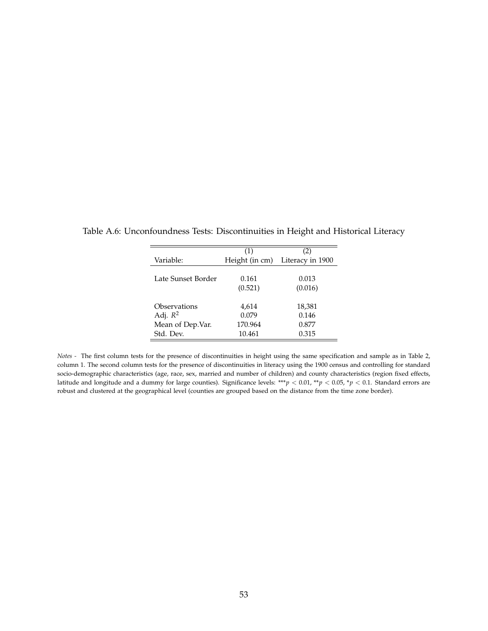|                    | (1)            | (2)              |
|--------------------|----------------|------------------|
| Variable:          | Height (in cm) | Literacy in 1900 |
|                    |                |                  |
| Late Sunset Border | 0.161          | 0.013            |
|                    | (0.521)        | (0.016)          |
|                    |                |                  |
| Observations       | 4,614          | 18,381           |
| Adj. $R^2$         | 0.079          | 0.146            |
| Mean of Dep.Var.   | 170.964        | 0.877            |
| Std. Dev.          | 10.461         | 0.315            |

<span id="page-55-0"></span>Table A.6: Unconfoundness Tests: Discontinuities in Height and Historical Literacy

*Notes -* The first column tests for the presence of discontinuities in height using the same specification and sample as in Table 2, column 1. The second column tests for the presence of discontinuities in literacy using the 1900 census and controlling for standard socio-demographic characteristics (age, race, sex, married and number of children) and county characteristics (region fixed effects, latitude and longitude and a dummy for large counties). Significance levels: \*\*\**p* < 0.01, \*\**p* < 0.05, \**p* < 0.1. Standard errors are robust and clustered at the geographical level (counties are grouped based on the distance from the time zone border).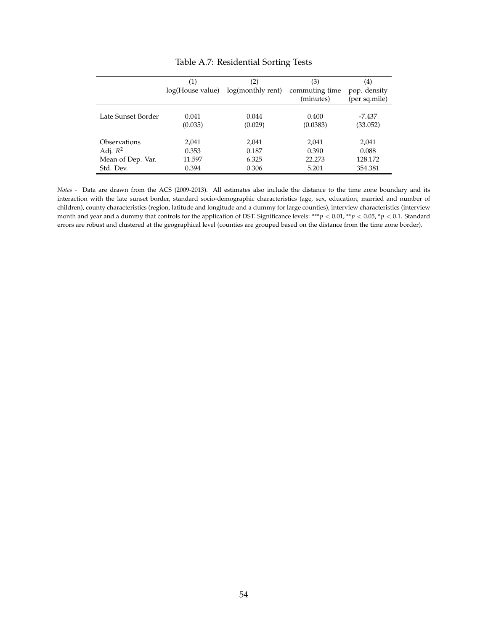<span id="page-56-0"></span>

|                    | (1)              | (2)               | (3)            | (4)           |
|--------------------|------------------|-------------------|----------------|---------------|
|                    | log(House value) | log(monthly rent) | commuting time | pop. density  |
|                    |                  |                   | (minutes)      | (per sq.mile) |
| Late Sunset Border | 0.041            | 0.044             | 0.400          | -7.437        |
|                    | (0.035)          | (0.029)           | (0.0383)       | (33.052)      |
| Observations       | 2,041            | 2,041             | 2,041          | 2,041         |
| Adj. $R^2$         | 0.353            | 0.187             | 0.390          | 0.088         |
| Mean of Dep. Var.  | 11.597           | 6.325             | 22.273         | 128.172       |
| Std. Dev.          | 0.394            | 0.306             | 5.201          | 354.381       |

Table A.7: Residential Sorting Tests

*Notes -* Data are drawn from the ACS (2009-2013). All estimates also include the distance to the time zone boundary and its interaction with the late sunset border, standard socio-demographic characteristics (age, sex, education, married and number of children), county characteristics (region, latitude and longitude and a dummy for large counties), interview characteristics (interview month and year and a dummy that controls for the application of DST. Significance levels: \*\*\**p* < 0.01, \*\**p* < 0.05, \**p* < 0.1. Standard errors are robust and clustered at the geographical level (counties are grouped based on the distance from the time zone border).